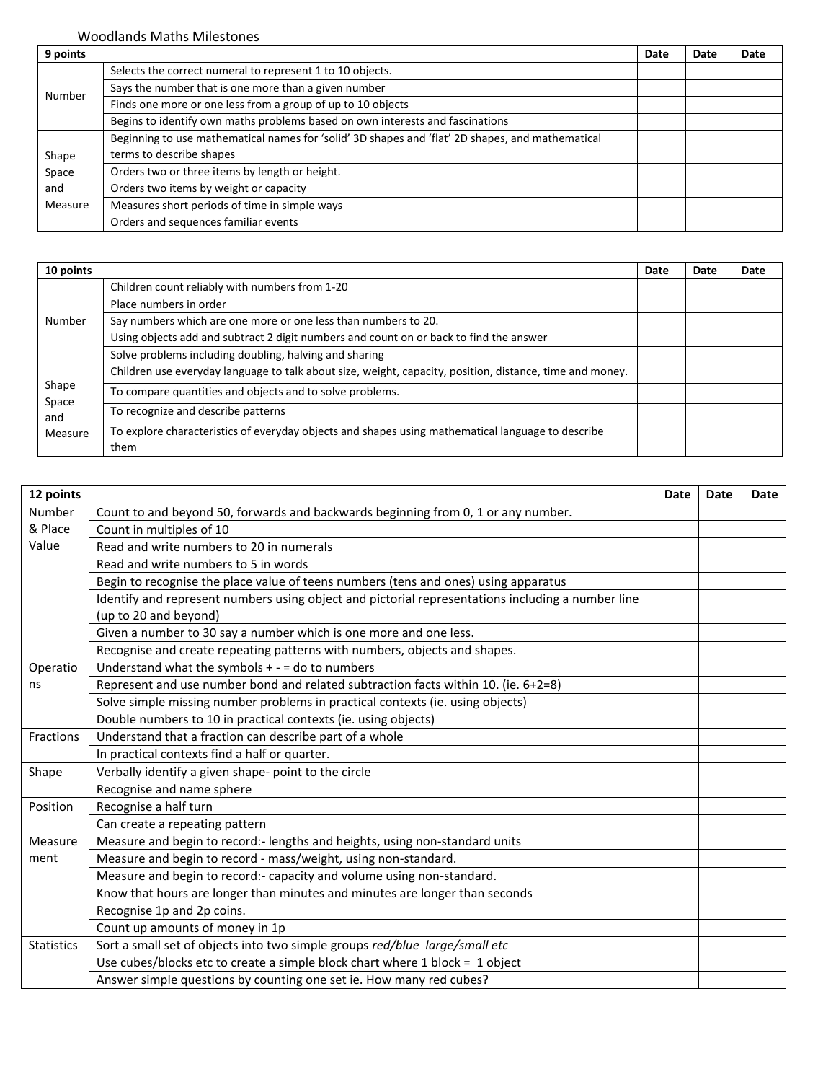Woodlands Maths Milestones

| 9 points |                                                                                                  | Date | Date | Date |
|----------|--------------------------------------------------------------------------------------------------|------|------|------|
| Number   | Selects the correct numeral to represent 1 to 10 objects.                                        |      |      |      |
|          | Says the number that is one more than a given number                                             |      |      |      |
|          | Finds one more or one less from a group of up to 10 objects                                      |      |      |      |
|          | Begins to identify own maths problems based on own interests and fascinations                    |      |      |      |
|          | Beginning to use mathematical names for 'solid' 3D shapes and 'flat' 2D shapes, and mathematical |      |      |      |
| Shape    | terms to describe shapes                                                                         |      |      |      |
| Space    | Orders two or three items by length or height.                                                   |      |      |      |
| and      | Orders two items by weight or capacity                                                           |      |      |      |
| Measure  | Measures short periods of time in simple ways                                                    |      |      |      |
|          | Orders and sequences familiar events                                                             |      |      |      |

| 10 points      |                                                                                                          | Date | Date | Date |
|----------------|----------------------------------------------------------------------------------------------------------|------|------|------|
|                | Children count reliably with numbers from 1-20                                                           |      |      |      |
|                | Place numbers in order                                                                                   |      |      |      |
| Number         | Say numbers which are one more or one less than numbers to 20.                                           |      |      |      |
|                | Using objects add and subtract 2 digit numbers and count on or back to find the answer                   |      |      |      |
|                | Solve problems including doubling, halving and sharing                                                   |      |      |      |
|                | Children use everyday language to talk about size, weight, capacity, position, distance, time and money. |      |      |      |
| Shape<br>Space | To compare quantities and objects and to solve problems.                                                 |      |      |      |
| and<br>Measure | To recognize and describe patterns                                                                       |      |      |      |
|                | To explore characteristics of everyday objects and shapes using mathematical language to describe        |      |      |      |
|                | them                                                                                                     |      |      |      |

| 12 points         |                                                                                                   | <b>Date</b> | Date | Date |
|-------------------|---------------------------------------------------------------------------------------------------|-------------|------|------|
| Number            | Count to and beyond 50, forwards and backwards beginning from 0, 1 or any number.                 |             |      |      |
| & Place           | Count in multiples of 10                                                                          |             |      |      |
| Value             | Read and write numbers to 20 in numerals                                                          |             |      |      |
|                   | Read and write numbers to 5 in words                                                              |             |      |      |
|                   | Begin to recognise the place value of teens numbers (tens and ones) using apparatus               |             |      |      |
|                   | Identify and represent numbers using object and pictorial representations including a number line |             |      |      |
|                   | (up to 20 and beyond)                                                                             |             |      |      |
|                   | Given a number to 30 say a number which is one more and one less.                                 |             |      |      |
|                   | Recognise and create repeating patterns with numbers, objects and shapes.                         |             |      |      |
| Operatio          | Understand what the symbols $+ -$ = do to numbers                                                 |             |      |      |
| ns                | Represent and use number bond and related subtraction facts within 10. (ie. 6+2=8)                |             |      |      |
|                   | Solve simple missing number problems in practical contexts (ie. using objects)                    |             |      |      |
|                   | Double numbers to 10 in practical contexts (ie. using objects)                                    |             |      |      |
| <b>Fractions</b>  | Understand that a fraction can describe part of a whole                                           |             |      |      |
|                   | In practical contexts find a half or quarter.                                                     |             |      |      |
| Shape             | Verbally identify a given shape- point to the circle                                              |             |      |      |
|                   | Recognise and name sphere                                                                         |             |      |      |
| Position          | Recognise a half turn                                                                             |             |      |      |
|                   | Can create a repeating pattern                                                                    |             |      |      |
| Measure           | Measure and begin to record:- lengths and heights, using non-standard units                       |             |      |      |
| ment              | Measure and begin to record - mass/weight, using non-standard.                                    |             |      |      |
|                   | Measure and begin to record:- capacity and volume using non-standard.                             |             |      |      |
|                   | Know that hours are longer than minutes and minutes are longer than seconds                       |             |      |      |
|                   | Recognise 1p and 2p coins.                                                                        |             |      |      |
|                   | Count up amounts of money in 1p                                                                   |             |      |      |
| <b>Statistics</b> | Sort a small set of objects into two simple groups red/blue large/small etc                       |             |      |      |
|                   | Use cubes/blocks etc to create a simple block chart where 1 block = 1 object                      |             |      |      |
|                   | Answer simple questions by counting one set ie. How many red cubes?                               |             |      |      |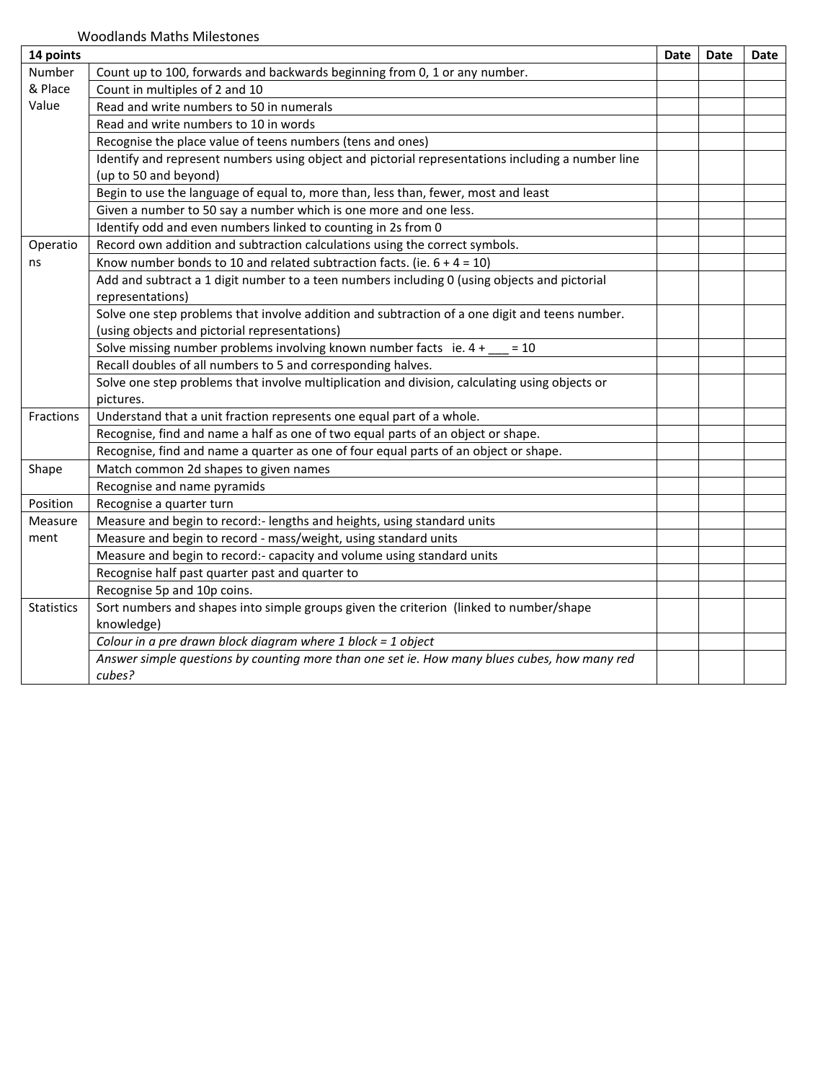| 14 points         |                                                                                                                            | Date | Date | Date |
|-------------------|----------------------------------------------------------------------------------------------------------------------------|------|------|------|
| Number            | Count up to 100, forwards and backwards beginning from 0, 1 or any number.                                                 |      |      |      |
| & Place           | Count in multiples of 2 and 10                                                                                             |      |      |      |
| Value             | Read and write numbers to 50 in numerals                                                                                   |      |      |      |
|                   | Read and write numbers to 10 in words                                                                                      |      |      |      |
|                   | Recognise the place value of teens numbers (tens and ones)                                                                 |      |      |      |
|                   | Identify and represent numbers using object and pictorial representations including a number line<br>(up to 50 and beyond) |      |      |      |
|                   | Begin to use the language of equal to, more than, less than, fewer, most and least                                         |      |      |      |
|                   | Given a number to 50 say a number which is one more and one less.                                                          |      |      |      |
|                   | Identify odd and even numbers linked to counting in 2s from 0                                                              |      |      |      |
| Operatio          | Record own addition and subtraction calculations using the correct symbols.                                                |      |      |      |
| ns                | Know number bonds to 10 and related subtraction facts. (ie. $6 + 4 = 10$ )                                                 |      |      |      |
|                   | Add and subtract a 1 digit number to a teen numbers including 0 (using objects and pictorial<br>representations)           |      |      |      |
|                   | Solve one step problems that involve addition and subtraction of a one digit and teens number.                             |      |      |      |
|                   | (using objects and pictorial representations)                                                                              |      |      |      |
|                   | Solve missing number problems involving known number facts ie. 4 +<br>$= 10$                                               |      |      |      |
|                   | Recall doubles of all numbers to 5 and corresponding halves.                                                               |      |      |      |
|                   | Solve one step problems that involve multiplication and division, calculating using objects or<br>pictures.                |      |      |      |
| Fractions         | Understand that a unit fraction represents one equal part of a whole.                                                      |      |      |      |
|                   | Recognise, find and name a half as one of two equal parts of an object or shape.                                           |      |      |      |
|                   | Recognise, find and name a quarter as one of four equal parts of an object or shape.                                       |      |      |      |
| Shape             | Match common 2d shapes to given names                                                                                      |      |      |      |
|                   | Recognise and name pyramids                                                                                                |      |      |      |
| Position          | Recognise a quarter turn                                                                                                   |      |      |      |
| Measure           | Measure and begin to record:- lengths and heights, using standard units                                                    |      |      |      |
| ment              | Measure and begin to record - mass/weight, using standard units                                                            |      |      |      |
|                   | Measure and begin to record:- capacity and volume using standard units                                                     |      |      |      |
|                   | Recognise half past quarter past and quarter to                                                                            |      |      |      |
|                   | Recognise 5p and 10p coins.                                                                                                |      |      |      |
| <b>Statistics</b> | Sort numbers and shapes into simple groups given the criterion (linked to number/shape                                     |      |      |      |
|                   | knowledge)                                                                                                                 |      |      |      |
|                   | Colour in a pre drawn block diagram where $1$ block = $1$ object                                                           |      |      |      |
|                   | Answer simple questions by counting more than one set ie. How many blues cubes, how many red                               |      |      |      |
|                   | cubes?                                                                                                                     |      |      |      |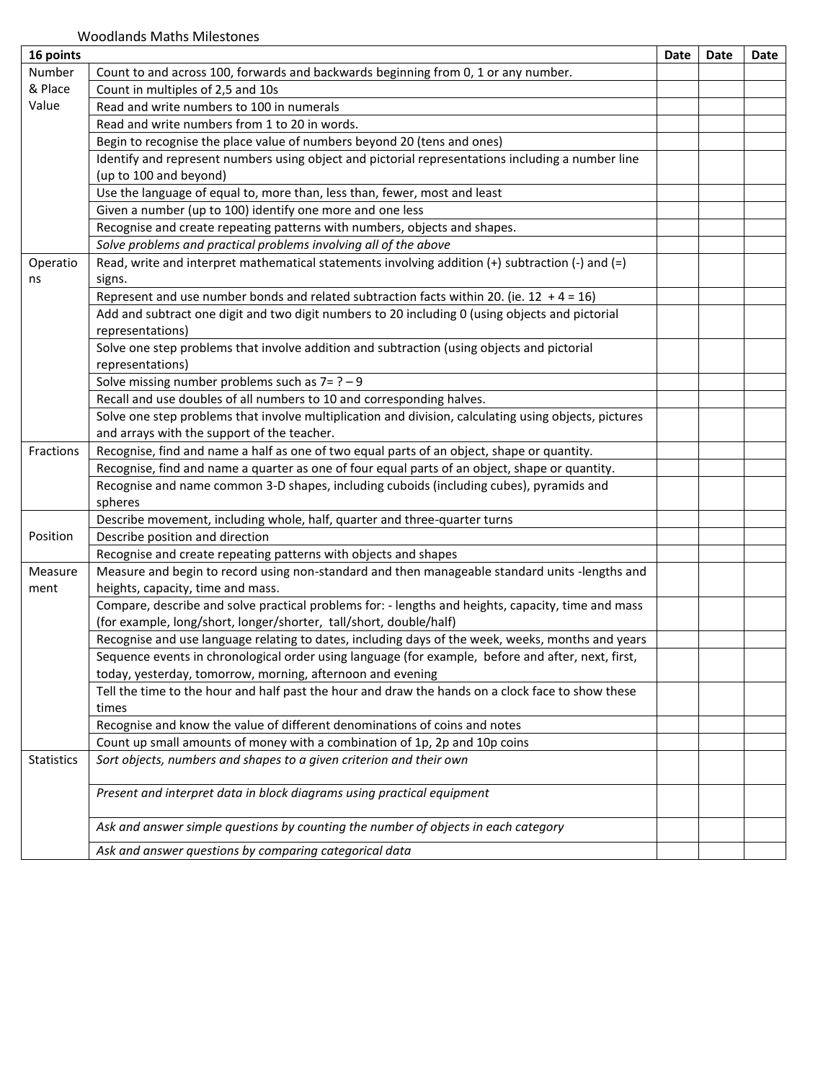| 16 points  |                                                                                                        | Date | Date | Date |
|------------|--------------------------------------------------------------------------------------------------------|------|------|------|
| Number     | Count to and across 100, forwards and backwards beginning from 0, 1 or any number.                     |      |      |      |
| & Place    | Count in multiples of 2,5 and 10s                                                                      |      |      |      |
| Value      | Read and write numbers to 100 in numerals                                                              |      |      |      |
|            | Read and write numbers from 1 to 20 in words.                                                          |      |      |      |
|            | Begin to recognise the place value of numbers beyond 20 (tens and ones)                                |      |      |      |
|            | Identify and represent numbers using object and pictorial representations including a number line      |      |      |      |
|            | (up to 100 and beyond)                                                                                 |      |      |      |
|            | Use the language of equal to, more than, less than, fewer, most and least                              |      |      |      |
|            | Given a number (up to 100) identify one more and one less                                              |      |      |      |
|            | Recognise and create repeating patterns with numbers, objects and shapes.                              |      |      |      |
|            | Solve problems and practical problems involving all of the above                                       |      |      |      |
| Operatio   | Read, write and interpret mathematical statements involving addition $(+)$ subtraction $(-)$ and $(=)$ |      |      |      |
| ns         | signs.                                                                                                 |      |      |      |
|            | Represent and use number bonds and related subtraction facts within 20. (ie. 12 + 4 = 16)              |      |      |      |
|            | Add and subtract one digit and two digit numbers to 20 including 0 (using objects and pictorial        |      |      |      |
|            | representations)                                                                                       |      |      |      |
|            | Solve one step problems that involve addition and subtraction (using objects and pictorial             |      |      |      |
|            | representations)                                                                                       |      |      |      |
|            | Solve missing number problems such as $7 = ? - 9$                                                      |      |      |      |
|            | Recall and use doubles of all numbers to 10 and corresponding halves.                                  |      |      |      |
|            | Solve one step problems that involve multiplication and division, calculating using objects, pictures  |      |      |      |
|            | and arrays with the support of the teacher.                                                            |      |      |      |
| Fractions  | Recognise, find and name a half as one of two equal parts of an object, shape or quantity.             |      |      |      |
|            | Recognise, find and name a quarter as one of four equal parts of an object, shape or quantity.         |      |      |      |
|            | Recognise and name common 3-D shapes, including cuboids (including cubes), pyramids and                |      |      |      |
|            | spheres                                                                                                |      |      |      |
|            | Describe movement, including whole, half, quarter and three-quarter turns                              |      |      |      |
| Position   | Describe position and direction                                                                        |      |      |      |
|            | Recognise and create repeating patterns with objects and shapes                                        |      |      |      |
| Measure    | Measure and begin to record using non-standard and then manageable standard units -lengths and         |      |      |      |
| ment       | heights, capacity, time and mass.                                                                      |      |      |      |
|            | Compare, describe and solve practical problems for: - lengths and heights, capacity, time and mass     |      |      |      |
|            | (for example, long/short, longer/shorter, tall/short, double/half)                                     |      |      |      |
|            | Recognise and use language relating to dates, including days of the week, weeks, months and years      |      |      |      |
|            | Sequence events in chronological order using language (for example, before and after, next, first,     |      |      |      |
|            | today, yesterday, tomorrow, morning, afternoon and evening                                             |      |      |      |
|            | Tell the time to the hour and half past the hour and draw the hands on a clock face to show these      |      |      |      |
|            | times                                                                                                  |      |      |      |
|            | Recognise and know the value of different denominations of coins and notes                             |      |      |      |
|            | Count up small amounts of money with a combination of 1p, 2p and 10p coins                             |      |      |      |
| Statistics | Sort objects, numbers and shapes to a given criterion and their own                                    |      |      |      |
|            | Present and interpret data in block diagrams using practical equipment                                 |      |      |      |
|            |                                                                                                        |      |      |      |
|            | Ask and answer simple questions by counting the number of objects in each category                     |      |      |      |
|            | Ask and answer questions by comparing categorical data                                                 |      |      |      |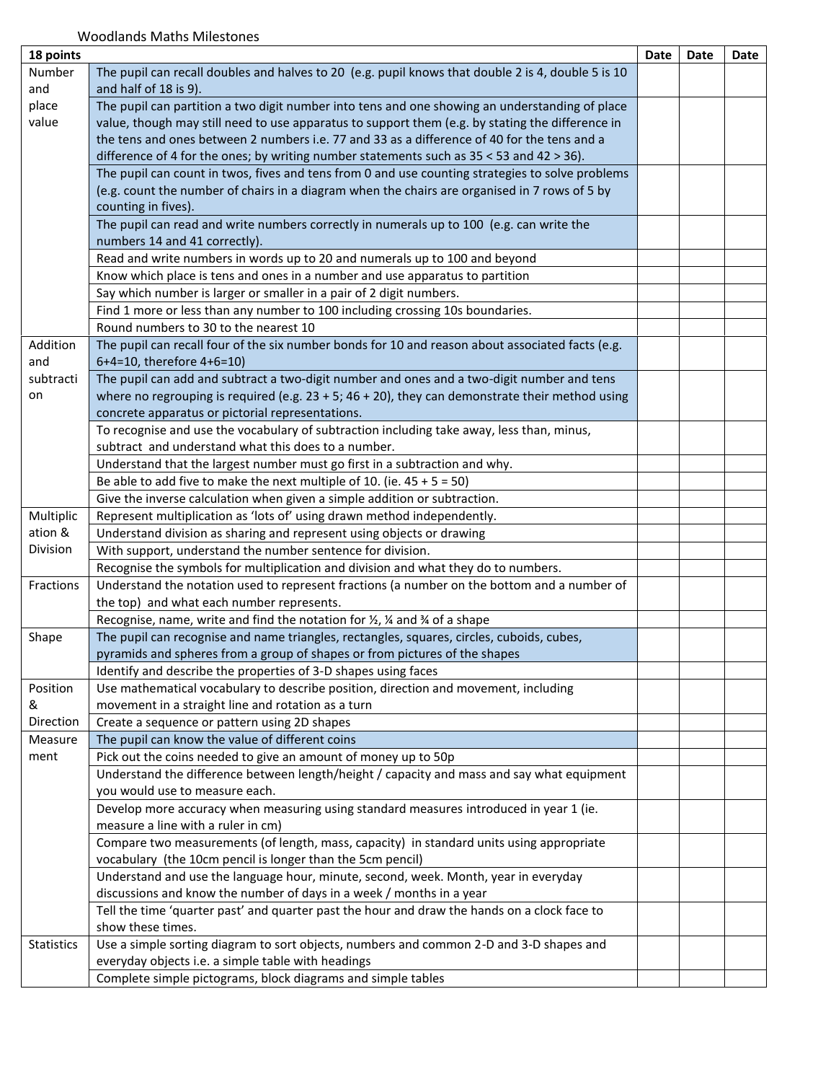| 18 points         |                                                                                                             | Date | Date | Date |
|-------------------|-------------------------------------------------------------------------------------------------------------|------|------|------|
| Number            | The pupil can recall doubles and halves to 20 (e.g. pupil knows that double 2 is 4, double 5 is 10          |      |      |      |
| and               | and half of 18 is 9).                                                                                       |      |      |      |
| place             | The pupil can partition a two digit number into tens and one showing an understanding of place              |      |      |      |
| value             | value, though may still need to use apparatus to support them (e.g. by stating the difference in            |      |      |      |
|                   | the tens and ones between 2 numbers i.e. 77 and 33 as a difference of 40 for the tens and a                 |      |      |      |
|                   | difference of 4 for the ones; by writing number statements such as $35 < 53$ and $42 > 36$ ).               |      |      |      |
|                   | The pupil can count in twos, fives and tens from 0 and use counting strategies to solve problems            |      |      |      |
|                   | (e.g. count the number of chairs in a diagram when the chairs are organised in 7 rows of 5 by               |      |      |      |
|                   | counting in fives).                                                                                         |      |      |      |
|                   | The pupil can read and write numbers correctly in numerals up to 100 (e.g. can write the                    |      |      |      |
|                   | numbers 14 and 41 correctly).                                                                               |      |      |      |
|                   | Read and write numbers in words up to 20 and numerals up to 100 and beyond                                  |      |      |      |
|                   | Know which place is tens and ones in a number and use apparatus to partition                                |      |      |      |
|                   | Say which number is larger or smaller in a pair of 2 digit numbers.                                         |      |      |      |
|                   | Find 1 more or less than any number to 100 including crossing 10s boundaries.                               |      |      |      |
|                   | Round numbers to 30 to the nearest 10                                                                       |      |      |      |
| Addition          | The pupil can recall four of the six number bonds for 10 and reason about associated facts (e.g.            |      |      |      |
| and               | 6+4=10, therefore 4+6=10)                                                                                   |      |      |      |
| subtracti         | The pupil can add and subtract a two-digit number and ones and a two-digit number and tens                  |      |      |      |
| on                | where no regrouping is required (e.g. $23 + 5$ ; $46 + 20$ ), they can demonstrate their method using       |      |      |      |
|                   | concrete apparatus or pictorial representations.                                                            |      |      |      |
|                   | To recognise and use the vocabulary of subtraction including take away, less than, minus,                   |      |      |      |
|                   | subtract and understand what this does to a number.                                                         |      |      |      |
|                   | Understand that the largest number must go first in a subtraction and why.                                  |      |      |      |
|                   | Be able to add five to make the next multiple of 10. (ie. $45 + 5 = 50$ )                                   |      |      |      |
|                   | Give the inverse calculation when given a simple addition or subtraction.                                   |      |      |      |
| Multiplic         | Represent multiplication as 'lots of' using drawn method independently.                                     |      |      |      |
| ation &           | Understand division as sharing and represent using objects or drawing                                       |      |      |      |
| Division          | With support, understand the number sentence for division.                                                  |      |      |      |
|                   | Recognise the symbols for multiplication and division and what they do to numbers.                          |      |      |      |
| Fractions         | Understand the notation used to represent fractions (a number on the bottom and a number of                 |      |      |      |
|                   | the top) and what each number represents.                                                                   |      |      |      |
|                   | Recognise, name, write and find the notation for $\frac{1}{2}$ , $\frac{1}{4}$ and $\frac{3}{4}$ of a shape |      |      |      |
| Shape             | The pupil can recognise and name triangles, rectangles, squares, circles, cuboids, cubes,                   |      |      |      |
|                   | pyramids and spheres from a group of shapes or from pictures of the shapes                                  |      |      |      |
|                   | Identify and describe the properties of 3-D shapes using faces                                              |      |      |      |
| Position          | Use mathematical vocabulary to describe position, direction and movement, including                         |      |      |      |
| &                 | movement in a straight line and rotation as a turn                                                          |      |      |      |
| Direction         | Create a sequence or pattern using 2D shapes                                                                |      |      |      |
| Measure           | The pupil can know the value of different coins                                                             |      |      |      |
| ment              | Pick out the coins needed to give an amount of money up to 50p                                              |      |      |      |
|                   | Understand the difference between length/height / capacity and mass and say what equipment                  |      |      |      |
|                   | you would use to measure each.                                                                              |      |      |      |
|                   | Develop more accuracy when measuring using standard measures introduced in year 1 (ie.                      |      |      |      |
|                   | measure a line with a ruler in cm)                                                                          |      |      |      |
|                   | Compare two measurements (of length, mass, capacity) in standard units using appropriate                    |      |      |      |
|                   | vocabulary (the 10cm pencil is longer than the 5cm pencil)                                                  |      |      |      |
|                   | Understand and use the language hour, minute, second, week. Month, year in everyday                         |      |      |      |
|                   | discussions and know the number of days in a week / months in a year                                        |      |      |      |
|                   | Tell the time 'quarter past' and quarter past the hour and draw the hands on a clock face to                |      |      |      |
|                   | show these times.                                                                                           |      |      |      |
| <b>Statistics</b> | Use a simple sorting diagram to sort objects, numbers and common 2-D and 3-D shapes and                     |      |      |      |
|                   | everyday objects i.e. a simple table with headings                                                          |      |      |      |
|                   | Complete simple pictograms, block diagrams and simple tables                                                |      |      |      |
|                   |                                                                                                             |      |      |      |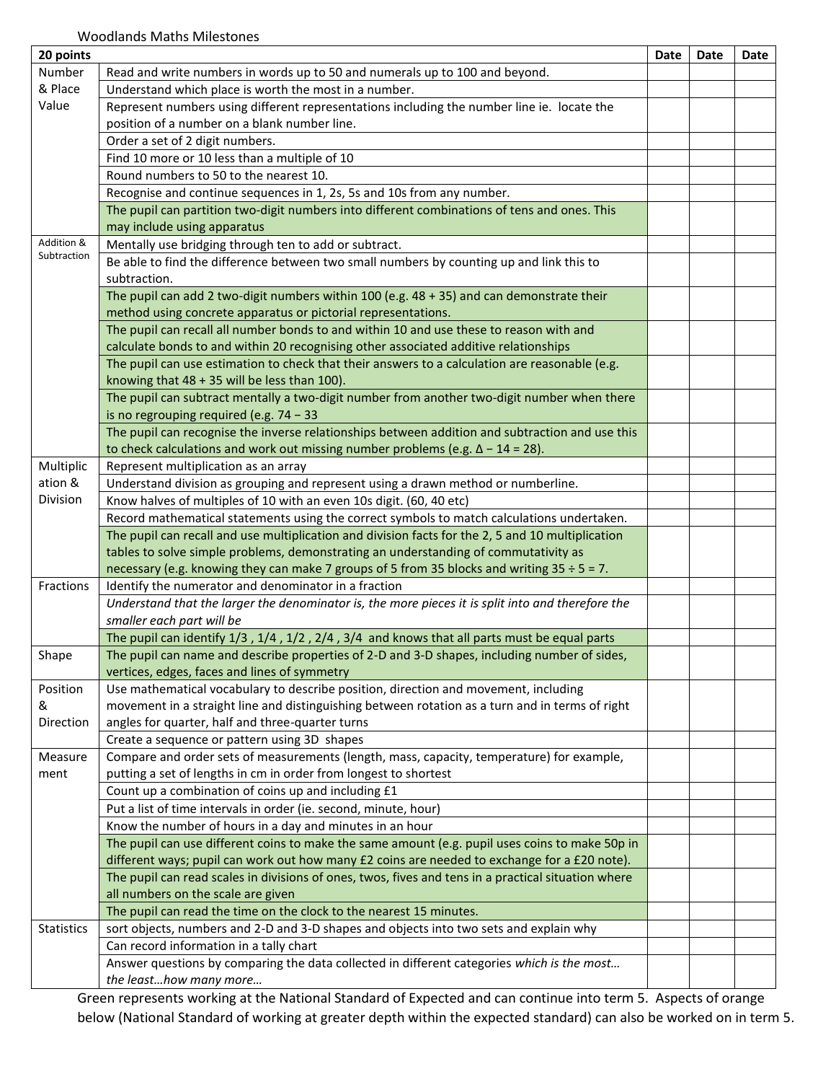| 20 points         |                                                                                                     | Date | Date | Date |
|-------------------|-----------------------------------------------------------------------------------------------------|------|------|------|
| Number            | Read and write numbers in words up to 50 and numerals up to 100 and beyond.                         |      |      |      |
| & Place           | Understand which place is worth the most in a number.                                               |      |      |      |
| Value             | Represent numbers using different representations including the number line ie. locate the          |      |      |      |
|                   | position of a number on a blank number line.                                                        |      |      |      |
|                   | Order a set of 2 digit numbers.                                                                     |      |      |      |
|                   | Find 10 more or 10 less than a multiple of 10                                                       |      |      |      |
|                   | Round numbers to 50 to the nearest 10.                                                              |      |      |      |
|                   | Recognise and continue sequences in 1, 2s, 5s and 10s from any number.                              |      |      |      |
|                   | The pupil can partition two-digit numbers into different combinations of tens and ones. This        |      |      |      |
|                   | may include using apparatus                                                                         |      |      |      |
| Addition &        | Mentally use bridging through ten to add or subtract.                                               |      |      |      |
| Subtraction       | Be able to find the difference between two small numbers by counting up and link this to            |      |      |      |
|                   | subtraction.                                                                                        |      |      |      |
|                   | The pupil can add 2 two-digit numbers within 100 (e.g. 48 + 35) and can demonstrate their           |      |      |      |
|                   | method using concrete apparatus or pictorial representations.                                       |      |      |      |
|                   | The pupil can recall all number bonds to and within 10 and use these to reason with and             |      |      |      |
|                   | calculate bonds to and within 20 recognising other associated additive relationships                |      |      |      |
|                   | The pupil can use estimation to check that their answers to a calculation are reasonable (e.g.      |      |      |      |
|                   | knowing that $48 + 35$ will be less than 100).                                                      |      |      |      |
|                   | The pupil can subtract mentally a two-digit number from another two-digit number when there         |      |      |      |
|                   | is no regrouping required (e.g. $74 - 33$                                                           |      |      |      |
|                   | The pupil can recognise the inverse relationships between addition and subtraction and use this     |      |      |      |
|                   | to check calculations and work out missing number problems (e.g. $\Delta$ - 14 = 28).               |      |      |      |
| Multiplic         | Represent multiplication as an array                                                                |      |      |      |
| ation &           | Understand division as grouping and represent using a drawn method or numberline.                   |      |      |      |
| Division          | Know halves of multiples of 10 with an even 10s digit. (60, 40 etc)                                 |      |      |      |
|                   | Record mathematical statements using the correct symbols to match calculations undertaken.          |      |      |      |
|                   | The pupil can recall and use multiplication and division facts for the 2, 5 and 10 multiplication   |      |      |      |
|                   | tables to solve simple problems, demonstrating an understanding of commutativity as                 |      |      |      |
|                   | necessary (e.g. knowing they can make 7 groups of 5 from 35 blocks and writing $35 \div 5 = 7$ .    |      |      |      |
| Fractions         | Identify the numerator and denominator in a fraction                                                |      |      |      |
|                   | Understand that the larger the denominator is, the more pieces it is split into and therefore the   |      |      |      |
|                   | smaller each part will be                                                                           |      |      |      |
|                   | The pupil can identify 1/3, 1/4, 1/2, 2/4, 3/4 and knows that all parts must be equal parts         |      |      |      |
| Shape             | The pupil can name and describe properties of 2-D and 3-D shapes, including number of sides,        |      |      |      |
|                   | vertices, edges, faces and lines of symmetry                                                        |      |      |      |
| Position          | Use mathematical vocabulary to describe position, direction and movement, including                 |      |      |      |
| &                 | movement in a straight line and distinguishing between rotation as a turn and in terms of right     |      |      |      |
| Direction         | angles for quarter, half and three-quarter turns                                                    |      |      |      |
|                   | Create a sequence or pattern using 3D shapes                                                        |      |      |      |
| Measure           | Compare and order sets of measurements (length, mass, capacity, temperature) for example,           |      |      |      |
| ment              | putting a set of lengths in cm in order from longest to shortest                                    |      |      |      |
|                   | Count up a combination of coins up and including £1                                                 |      |      |      |
|                   | Put a list of time intervals in order (ie. second, minute, hour)                                    |      |      |      |
|                   | Know the number of hours in a day and minutes in an hour                                            |      |      |      |
|                   | The pupil can use different coins to make the same amount (e.g. pupil uses coins to make 50p in     |      |      |      |
|                   | different ways; pupil can work out how many £2 coins are needed to exchange for a £20 note).        |      |      |      |
|                   | The pupil can read scales in divisions of ones, twos, fives and tens in a practical situation where |      |      |      |
|                   | all numbers on the scale are given                                                                  |      |      |      |
|                   | The pupil can read the time on the clock to the nearest 15 minutes.                                 |      |      |      |
| <b>Statistics</b> | sort objects, numbers and 2-D and 3-D shapes and objects into two sets and explain why              |      |      |      |
|                   | Can record information in a tally chart                                                             |      |      |      |
|                   | Answer questions by comparing the data collected in different categories which is the most          |      |      |      |
|                   | the leasthow many more                                                                              |      |      |      |

Green represents working at the National Standard of Expected and can continue into term 5. Aspects of orange below (National Standard of working at greater depth within the expected standard) can also be worked on in term 5.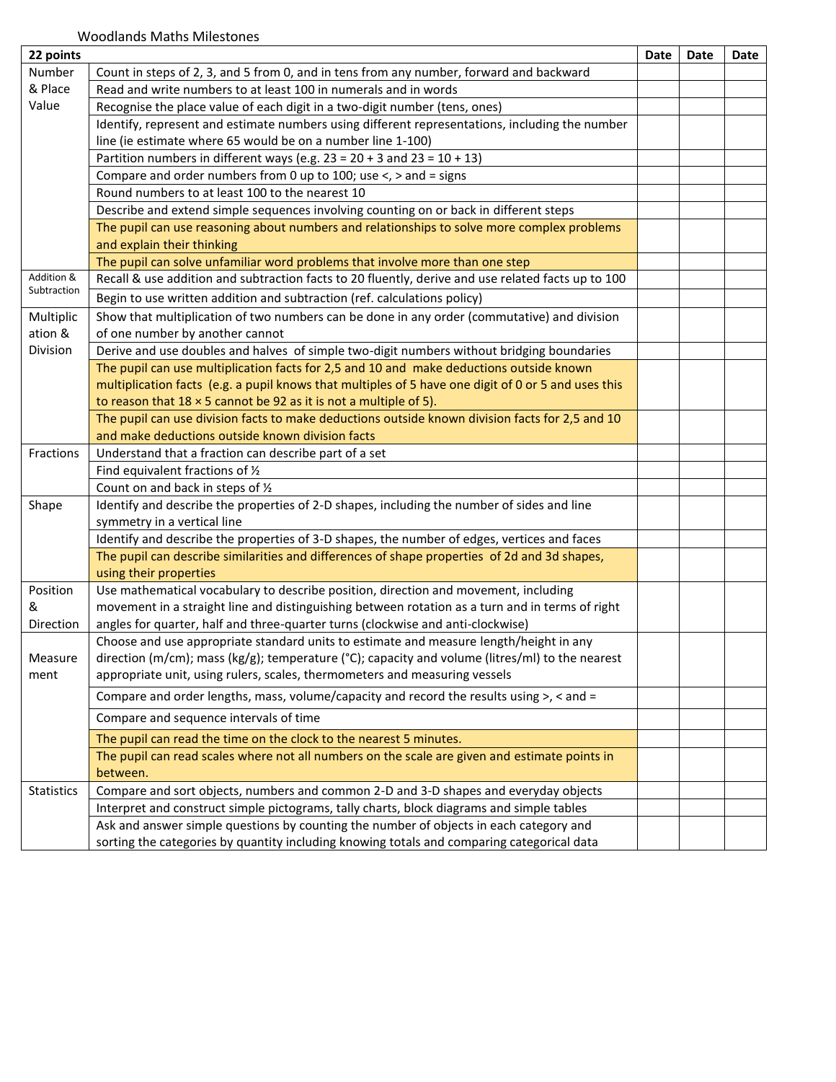| 22 points         |                                                                                                     | Date | Date | Date |
|-------------------|-----------------------------------------------------------------------------------------------------|------|------|------|
| Number            | Count in steps of 2, 3, and 5 from 0, and in tens from any number, forward and backward             |      |      |      |
| & Place           | Read and write numbers to at least 100 in numerals and in words                                     |      |      |      |
| Value             | Recognise the place value of each digit in a two-digit number (tens, ones)                          |      |      |      |
|                   | Identify, represent and estimate numbers using different representations, including the number      |      |      |      |
|                   | line (ie estimate where 65 would be on a number line 1-100)                                         |      |      |      |
|                   | Partition numbers in different ways (e.g. $23 = 20 + 3$ and $23 = 10 + 13$ )                        |      |      |      |
|                   | Compare and order numbers from 0 up to 100; use $\lt$ , $>$ and = signs                             |      |      |      |
|                   | Round numbers to at least 100 to the nearest 10                                                     |      |      |      |
|                   | Describe and extend simple sequences involving counting on or back in different steps               |      |      |      |
|                   | The pupil can use reasoning about numbers and relationships to solve more complex problems          |      |      |      |
|                   | and explain their thinking                                                                          |      |      |      |
|                   | The pupil can solve unfamiliar word problems that involve more than one step                        |      |      |      |
| Addition &        | Recall & use addition and subtraction facts to 20 fluently, derive and use related facts up to 100  |      |      |      |
| Subtraction       | Begin to use written addition and subtraction (ref. calculations policy)                            |      |      |      |
| Multiplic         | Show that multiplication of two numbers can be done in any order (commutative) and division         |      |      |      |
| ation &           | of one number by another cannot                                                                     |      |      |      |
| Division          | Derive and use doubles and halves of simple two-digit numbers without bridging boundaries           |      |      |      |
|                   | The pupil can use multiplication facts for 2,5 and 10 and make deductions outside known             |      |      |      |
|                   | multiplication facts (e.g. a pupil knows that multiples of 5 have one digit of 0 or 5 and uses this |      |      |      |
|                   | to reason that $18 \times 5$ cannot be 92 as it is not a multiple of 5).                            |      |      |      |
|                   | The pupil can use division facts to make deductions outside known division facts for 2,5 and 10     |      |      |      |
|                   | and make deductions outside known division facts                                                    |      |      |      |
| Fractions         | Understand that a fraction can describe part of a set                                               |      |      |      |
|                   | Find equivalent fractions of 1/2                                                                    |      |      |      |
|                   | Count on and back in steps of 1/2                                                                   |      |      |      |
| Shape             | Identify and describe the properties of 2-D shapes, including the number of sides and line          |      |      |      |
|                   | symmetry in a vertical line                                                                         |      |      |      |
|                   | Identify and describe the properties of 3-D shapes, the number of edges, vertices and faces         |      |      |      |
|                   | The pupil can describe similarities and differences of shape properties of 2d and 3d shapes,        |      |      |      |
|                   | using their properties                                                                              |      |      |      |
| Position          | Use mathematical vocabulary to describe position, direction and movement, including                 |      |      |      |
| &                 | movement in a straight line and distinguishing between rotation as a turn and in terms of right     |      |      |      |
| Direction         | angles for quarter, half and three-quarter turns (clockwise and anti-clockwise)                     |      |      |      |
|                   | Choose and use appropriate standard units to estimate and measure length/height in any              |      |      |      |
| Measure           | direction (m/cm); mass (kg/g); temperature (°C); capacity and volume (litres/ml) to the nearest     |      |      |      |
| ment              | appropriate unit, using rulers, scales, thermometers and measuring vessels                          |      |      |      |
|                   | Compare and order lengths, mass, volume/capacity and record the results using $>$ , < and =         |      |      |      |
|                   | Compare and sequence intervals of time                                                              |      |      |      |
|                   | The pupil can read the time on the clock to the nearest 5 minutes.                                  |      |      |      |
|                   | The pupil can read scales where not all numbers on the scale are given and estimate points in       |      |      |      |
|                   | between.                                                                                            |      |      |      |
| <b>Statistics</b> | Compare and sort objects, numbers and common 2-D and 3-D shapes and everyday objects                |      |      |      |
|                   | Interpret and construct simple pictograms, tally charts, block diagrams and simple tables           |      |      |      |
|                   | Ask and answer simple questions by counting the number of objects in each category and              |      |      |      |
|                   | sorting the categories by quantity including knowing totals and comparing categorical data          |      |      |      |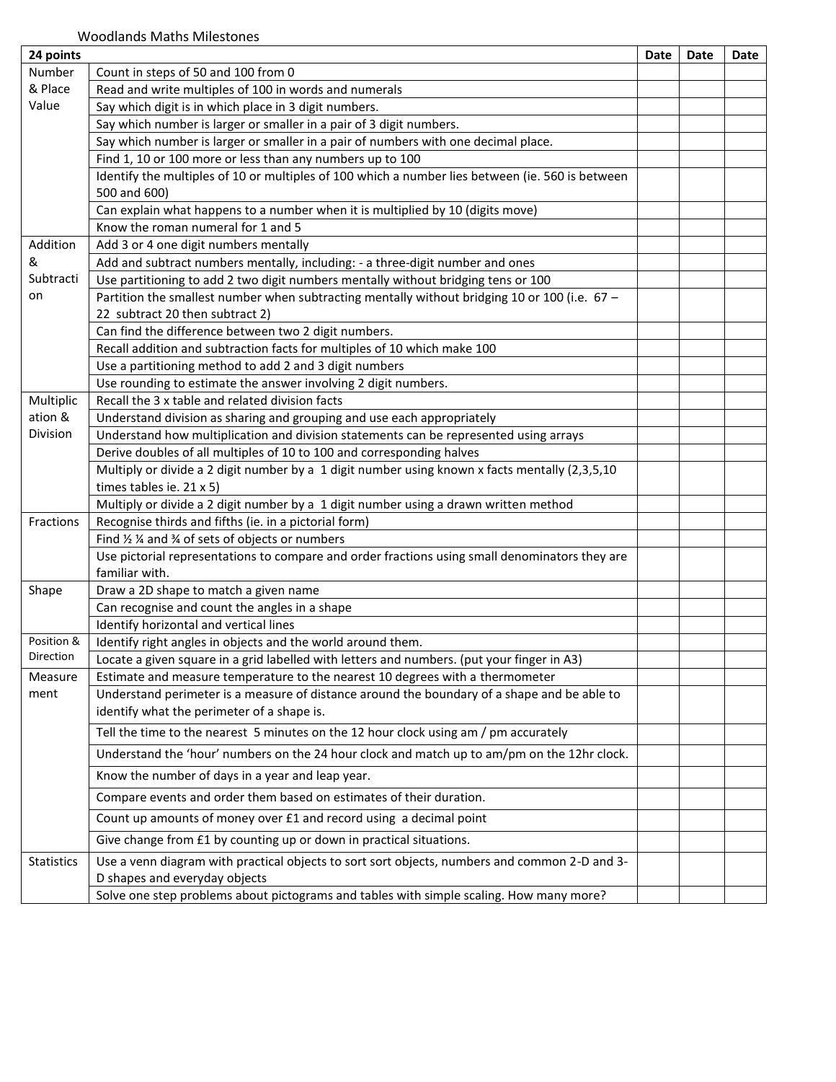| 24 points                      |                                                                                                  | Date | <b>Date</b> | Date |
|--------------------------------|--------------------------------------------------------------------------------------------------|------|-------------|------|
| Number                         | Count in steps of 50 and 100 from 0                                                              |      |             |      |
| & Place                        | Read and write multiples of 100 in words and numerals                                            |      |             |      |
| Value                          | Say which digit is in which place in 3 digit numbers.                                            |      |             |      |
|                                | Say which number is larger or smaller in a pair of 3 digit numbers.                              |      |             |      |
|                                | Say which number is larger or smaller in a pair of numbers with one decimal place.               |      |             |      |
|                                | Find 1, 10 or 100 more or less than any numbers up to 100                                        |      |             |      |
|                                | Identify the multiples of 10 or multiples of 100 which a number lies between (ie. 560 is between |      |             |      |
|                                | 500 and 600)                                                                                     |      |             |      |
|                                | Can explain what happens to a number when it is multiplied by 10 (digits move)                   |      |             |      |
|                                | Know the roman numeral for 1 and 5                                                               |      |             |      |
| Addition                       | Add 3 or 4 one digit numbers mentally                                                            |      |             |      |
| &                              | Add and subtract numbers mentally, including: - a three-digit number and ones                    |      |             |      |
| Subtracti                      | Use partitioning to add 2 two digit numbers mentally without bridging tens or 100                |      |             |      |
| on                             | Partition the smallest number when subtracting mentally without bridging 10 or 100 (i.e. 67 -    |      |             |      |
|                                | 22 subtract 20 then subtract 2)                                                                  |      |             |      |
|                                | Can find the difference between two 2 digit numbers.                                             |      |             |      |
|                                | Recall addition and subtraction facts for multiples of 10 which make 100                         |      |             |      |
|                                | Use a partitioning method to add 2 and 3 digit numbers                                           |      |             |      |
|                                | Use rounding to estimate the answer involving 2 digit numbers.                                   |      |             |      |
| Multiplic                      | Recall the 3 x table and related division facts                                                  |      |             |      |
| ation &                        | Understand division as sharing and grouping and use each appropriately                           |      |             |      |
| Division                       | Understand how multiplication and division statements can be represented using arrays            |      |             |      |
|                                | Derive doubles of all multiples of 10 to 100 and corresponding halves                            |      |             |      |
|                                | Multiply or divide a 2 digit number by a 1 digit number using known x facts mentally (2,3,5,10   |      |             |      |
|                                | times tables ie. 21 x 5)                                                                         |      |             |      |
|                                | Multiply or divide a 2 digit number by a 1 digit number using a drawn written method             |      |             |      |
| Fractions                      | Recognise thirds and fifths (ie. in a pictorial form)                                            |      |             |      |
|                                | Find $\frac{1}{2}$ % and % of sets of objects or numbers                                         |      |             |      |
|                                | Use pictorial representations to compare and order fractions using small denominators they are   |      |             |      |
|                                | familiar with.                                                                                   |      |             |      |
| Shape                          | Draw a 2D shape to match a given name                                                            |      |             |      |
|                                | Can recognise and count the angles in a shape                                                    |      |             |      |
|                                | Identify horizontal and vertical lines                                                           |      |             |      |
| Position &<br><b>Direction</b> | Identify right angles in objects and the world around them.                                      |      |             |      |
|                                | Locate a given square in a grid labelled with letters and numbers. (put your finger in A3)       |      |             |      |
| Measure                        | Estimate and measure temperature to the nearest 10 degrees with a thermometer                    |      |             |      |
| ment                           | Understand perimeter is a measure of distance around the boundary of a shape and be able to      |      |             |      |
|                                | identify what the perimeter of a shape is.                                                       |      |             |      |
|                                | Tell the time to the nearest 5 minutes on the 12 hour clock using am / pm accurately             |      |             |      |
|                                | Understand the 'hour' numbers on the 24 hour clock and match up to am/pm on the 12hr clock.      |      |             |      |
|                                | Know the number of days in a year and leap year.                                                 |      |             |      |
|                                | Compare events and order them based on estimates of their duration.                              |      |             |      |
|                                | Count up amounts of money over £1 and record using a decimal point                               |      |             |      |
|                                | Give change from £1 by counting up or down in practical situations.                              |      |             |      |
| <b>Statistics</b>              | Use a venn diagram with practical objects to sort sort objects, numbers and common 2-D and 3-    |      |             |      |
|                                | D shapes and everyday objects                                                                    |      |             |      |
|                                | Solve one step problems about pictograms and tables with simple scaling. How many more?          |      |             |      |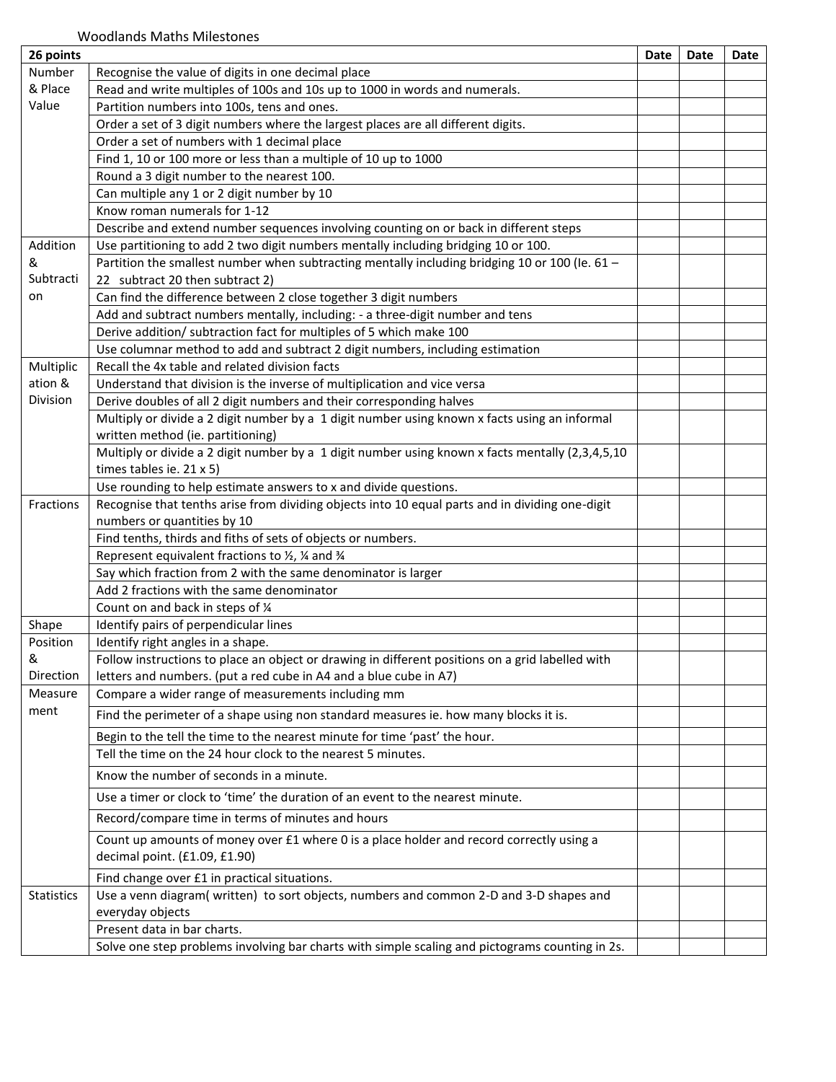| 26 points         |                                                                                                  | Date | Date | Date |
|-------------------|--------------------------------------------------------------------------------------------------|------|------|------|
| Number            | Recognise the value of digits in one decimal place                                               |      |      |      |
| & Place           | Read and write multiples of 100s and 10s up to 1000 in words and numerals.                       |      |      |      |
| Value             | Partition numbers into 100s, tens and ones.                                                      |      |      |      |
|                   | Order a set of 3 digit numbers where the largest places are all different digits.                |      |      |      |
|                   | Order a set of numbers with 1 decimal place                                                      |      |      |      |
|                   | Find 1, 10 or 100 more or less than a multiple of 10 up to 1000                                  |      |      |      |
|                   | Round a 3 digit number to the nearest 100.                                                       |      |      |      |
|                   | Can multiple any 1 or 2 digit number by 10                                                       |      |      |      |
|                   | Know roman numerals for 1-12                                                                     |      |      |      |
|                   | Describe and extend number sequences involving counting on or back in different steps            |      |      |      |
| Addition          | Use partitioning to add 2 two digit numbers mentally including bridging 10 or 100.               |      |      |      |
| &                 | Partition the smallest number when subtracting mentally including bridging 10 or 100 (le. 61 -   |      |      |      |
| Subtracti         | 22 subtract 20 then subtract 2)                                                                  |      |      |      |
| on                | Can find the difference between 2 close together 3 digit numbers                                 |      |      |      |
|                   | Add and subtract numbers mentally, including: - a three-digit number and tens                    |      |      |      |
|                   | Derive addition/ subtraction fact for multiples of 5 which make 100                              |      |      |      |
|                   | Use columnar method to add and subtract 2 digit numbers, including estimation                    |      |      |      |
| Multiplic         | Recall the 4x table and related division facts                                                   |      |      |      |
| ation &           | Understand that division is the inverse of multiplication and vice versa                         |      |      |      |
| Division          | Derive doubles of all 2 digit numbers and their corresponding halves                             |      |      |      |
|                   | Multiply or divide a 2 digit number by a 1 digit number using known x facts using an informal    |      |      |      |
|                   | written method (ie. partitioning)                                                                |      |      |      |
|                   | Multiply or divide a 2 digit number by a 1 digit number using known x facts mentally (2,3,4,5,10 |      |      |      |
|                   | times tables ie. $21 \times 5$ )                                                                 |      |      |      |
|                   | Use rounding to help estimate answers to x and divide questions.                                 |      |      |      |
| Fractions         | Recognise that tenths arise from dividing objects into 10 equal parts and in dividing one-digit  |      |      |      |
|                   | numbers or quantities by 10                                                                      |      |      |      |
|                   | Find tenths, thirds and fiths of sets of objects or numbers.                                     |      |      |      |
|                   | Represent equivalent fractions to 1/2, 1/4 and 3/4                                               |      |      |      |
|                   | Say which fraction from 2 with the same denominator is larger                                    |      |      |      |
|                   | Add 2 fractions with the same denominator                                                        |      |      |      |
|                   | Count on and back in steps of 1/4                                                                |      |      |      |
| Shape             | Identify pairs of perpendicular lines                                                            |      |      |      |
| Position          | Identify right angles in a shape.                                                                |      |      |      |
| &                 | Follow instructions to place an object or drawing in different positions on a grid labelled with |      |      |      |
| Direction         | letters and numbers. (put a red cube in A4 and a blue cube in A7)                                |      |      |      |
| Measure           | Compare a wider range of measurements including mm                                               |      |      |      |
| ment              | Find the perimeter of a shape using non standard measures ie. how many blocks it is.             |      |      |      |
|                   | Begin to the tell the time to the nearest minute for time 'past' the hour.                       |      |      |      |
|                   | Tell the time on the 24 hour clock to the nearest 5 minutes.                                     |      |      |      |
|                   | Know the number of seconds in a minute.                                                          |      |      |      |
|                   | Use a timer or clock to 'time' the duration of an event to the nearest minute.                   |      |      |      |
|                   | Record/compare time in terms of minutes and hours                                                |      |      |      |
|                   | Count up amounts of money over £1 where 0 is a place holder and record correctly using a         |      |      |      |
|                   | decimal point. (£1.09, £1.90)                                                                    |      |      |      |
|                   | Find change over £1 in practical situations.                                                     |      |      |      |
| <b>Statistics</b> | Use a venn diagram(written) to sort objects, numbers and common 2-D and 3-D shapes and           |      |      |      |
|                   | everyday objects                                                                                 |      |      |      |
|                   | Present data in bar charts.                                                                      |      |      |      |
|                   | Solve one step problems involving bar charts with simple scaling and pictograms counting in 2s.  |      |      |      |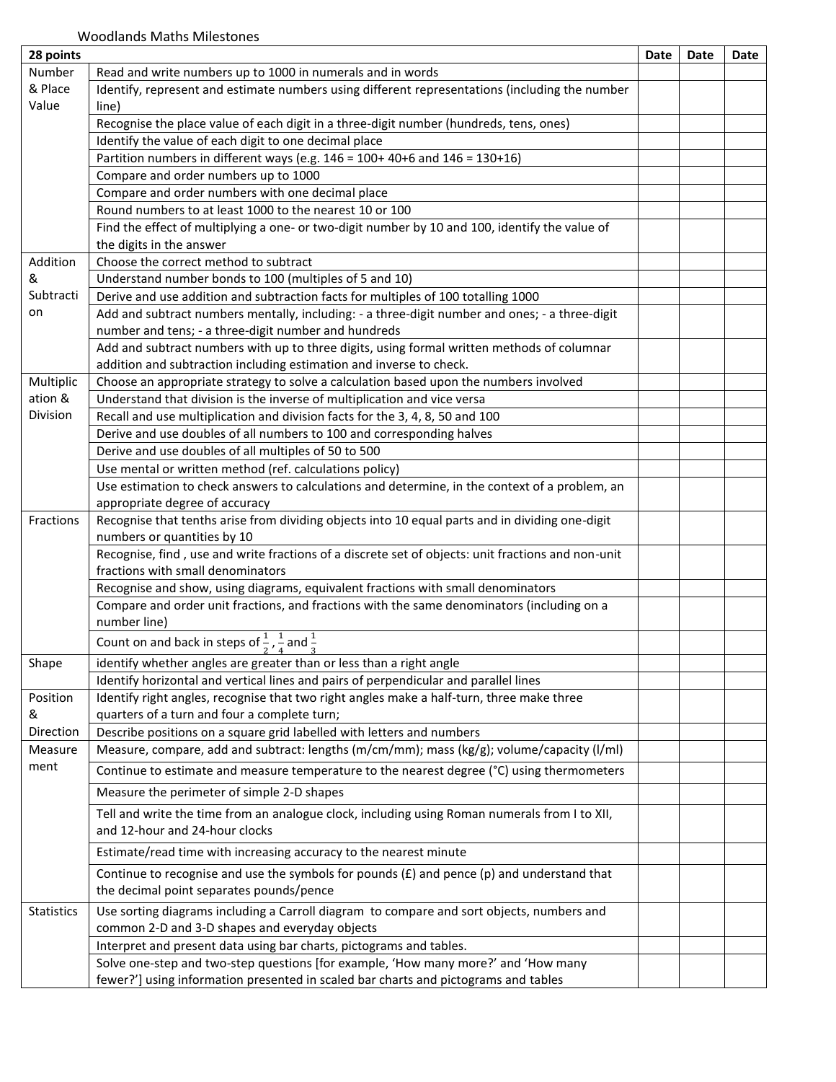| 28 points         |                                                                                                    | Date | Date | Date |
|-------------------|----------------------------------------------------------------------------------------------------|------|------|------|
| Number            | Read and write numbers up to 1000 in numerals and in words                                         |      |      |      |
| & Place           | Identify, represent and estimate numbers using different representations (including the number     |      |      |      |
| Value             | line)                                                                                              |      |      |      |
|                   | Recognise the place value of each digit in a three-digit number (hundreds, tens, ones)             |      |      |      |
|                   | Identify the value of each digit to one decimal place                                              |      |      |      |
|                   | Partition numbers in different ways (e.g. $146 = 100 + 40 + 6$ and $146 = 130 + 16$ )              |      |      |      |
|                   | Compare and order numbers up to 1000                                                               |      |      |      |
|                   | Compare and order numbers with one decimal place                                                   |      |      |      |
|                   | Round numbers to at least 1000 to the nearest 10 or 100                                            |      |      |      |
|                   | Find the effect of multiplying a one- or two-digit number by 10 and 100, identify the value of     |      |      |      |
|                   | the digits in the answer                                                                           |      |      |      |
| Addition          | Choose the correct method to subtract                                                              |      |      |      |
| &                 | Understand number bonds to 100 (multiples of 5 and 10)                                             |      |      |      |
| Subtracti         | Derive and use addition and subtraction facts for multiples of 100 totalling 1000                  |      |      |      |
| on                | Add and subtract numbers mentally, including: - a three-digit number and ones; - a three-digit     |      |      |      |
|                   | number and tens; - a three-digit number and hundreds                                               |      |      |      |
|                   | Add and subtract numbers with up to three digits, using formal written methods of columnar         |      |      |      |
|                   | addition and subtraction including estimation and inverse to check.                                |      |      |      |
| Multiplic         | Choose an appropriate strategy to solve a calculation based upon the numbers involved              |      |      |      |
| ation &           | Understand that division is the inverse of multiplication and vice versa                           |      |      |      |
| Division          | Recall and use multiplication and division facts for the 3, 4, 8, 50 and 100                       |      |      |      |
|                   | Derive and use doubles of all numbers to 100 and corresponding halves                              |      |      |      |
|                   | Derive and use doubles of all multiples of 50 to 500                                               |      |      |      |
|                   | Use mental or written method (ref. calculations policy)                                            |      |      |      |
|                   | Use estimation to check answers to calculations and determine, in the context of a problem, an     |      |      |      |
|                   | appropriate degree of accuracy                                                                     |      |      |      |
| Fractions         | Recognise that tenths arise from dividing objects into 10 equal parts and in dividing one-digit    |      |      |      |
|                   | numbers or quantities by 10                                                                        |      |      |      |
|                   | Recognise, find, use and write fractions of a discrete set of objects: unit fractions and non-unit |      |      |      |
|                   | fractions with small denominators                                                                  |      |      |      |
|                   | Recognise and show, using diagrams, equivalent fractions with small denominators                   |      |      |      |
|                   | Compare and order unit fractions, and fractions with the same denominators (including on a         |      |      |      |
|                   | number line)                                                                                       |      |      |      |
|                   | Count on and back in steps of $\frac{1}{2}$ , $\frac{1}{4}$ and $\frac{1}{3}$                      |      |      |      |
|                   |                                                                                                    |      |      |      |
| Shape             | identify whether angles are greater than or less than a right angle                                |      |      |      |
|                   | Identify horizontal and vertical lines and pairs of perpendicular and parallel lines               |      |      |      |
| Position          | Identify right angles, recognise that two right angles make a half-turn, three make three          |      |      |      |
| &                 | quarters of a turn and four a complete turn;                                                       |      |      |      |
| Direction         | Describe positions on a square grid labelled with letters and numbers                              |      |      |      |
| Measure           | Measure, compare, add and subtract: lengths (m/cm/mm); mass (kg/g); volume/capacity (l/ml)         |      |      |      |
| ment              | Continue to estimate and measure temperature to the nearest degree (°C) using thermometers         |      |      |      |
|                   | Measure the perimeter of simple 2-D shapes                                                         |      |      |      |
|                   | Tell and write the time from an analogue clock, including using Roman numerals from I to XII,      |      |      |      |
|                   | and 12-hour and 24-hour clocks                                                                     |      |      |      |
|                   | Estimate/read time with increasing accuracy to the nearest minute                                  |      |      |      |
|                   | Continue to recognise and use the symbols for pounds $(f)$ and pence (p) and understand that       |      |      |      |
|                   | the decimal point separates pounds/pence                                                           |      |      |      |
| <b>Statistics</b> | Use sorting diagrams including a Carroll diagram to compare and sort objects, numbers and          |      |      |      |
|                   | common 2-D and 3-D shapes and everyday objects                                                     |      |      |      |
|                   | Interpret and present data using bar charts, pictograms and tables.                                |      |      |      |
|                   | Solve one-step and two-step questions [for example, 'How many more?' and 'How many                 |      |      |      |
|                   | fewer?'] using information presented in scaled bar charts and pictograms and tables                |      |      |      |
|                   |                                                                                                    |      |      |      |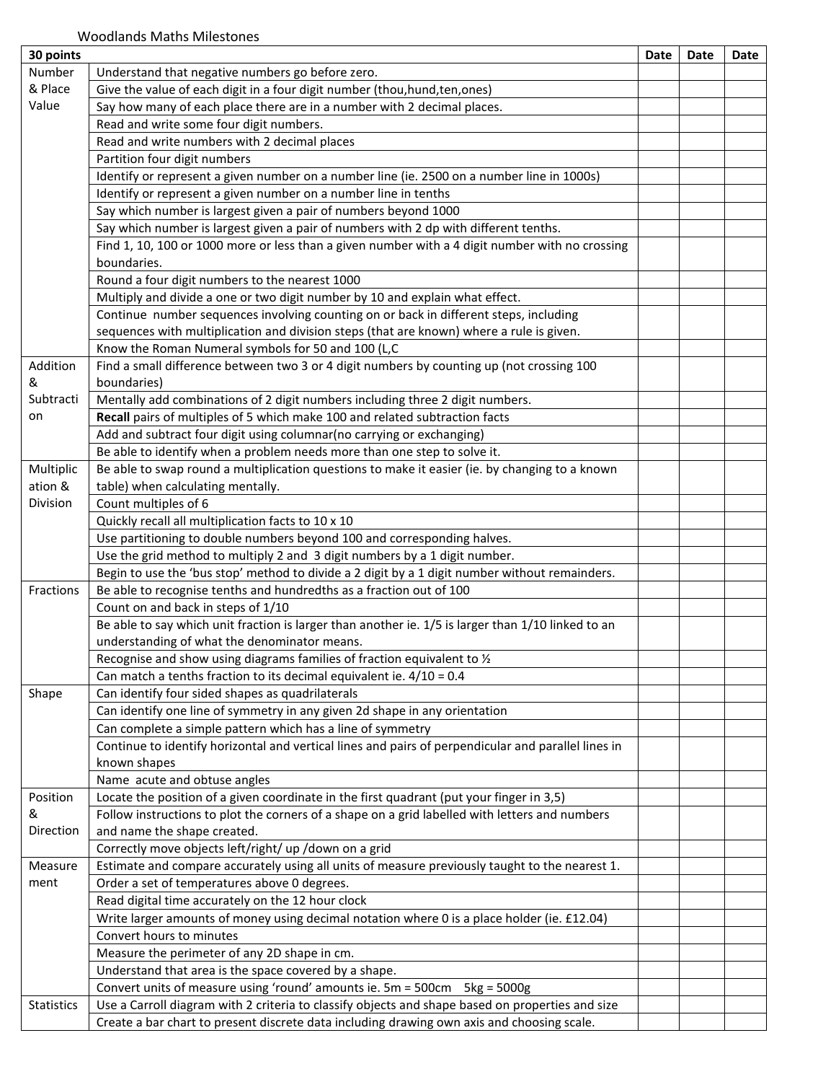| 30 points     |                                                                                                          | Date | Date | Date |
|---------------|----------------------------------------------------------------------------------------------------------|------|------|------|
| Number        | Understand that negative numbers go before zero.                                                         |      |      |      |
| & Place       | Give the value of each digit in a four digit number (thou, hund, ten, ones)                              |      |      |      |
| Value         | Say how many of each place there are in a number with 2 decimal places.                                  |      |      |      |
|               | Read and write some four digit numbers.                                                                  |      |      |      |
|               | Read and write numbers with 2 decimal places                                                             |      |      |      |
|               | Partition four digit numbers                                                                             |      |      |      |
|               | Identify or represent a given number on a number line (ie. 2500 on a number line in 1000s)               |      |      |      |
|               | Identify or represent a given number on a number line in tenths                                          |      |      |      |
|               | Say which number is largest given a pair of numbers beyond 1000                                          |      |      |      |
|               | Say which number is largest given a pair of numbers with 2 dp with different tenths.                     |      |      |      |
|               | Find 1, 10, 100 or 1000 more or less than a given number with a 4 digit number with no crossing          |      |      |      |
|               | boundaries.                                                                                              |      |      |      |
|               | Round a four digit numbers to the nearest 1000                                                           |      |      |      |
|               | Multiply and divide a one or two digit number by 10 and explain what effect.                             |      |      |      |
|               | Continue number sequences involving counting on or back in different steps, including                    |      |      |      |
|               | sequences with multiplication and division steps (that are known) where a rule is given.                 |      |      |      |
|               | Know the Roman Numeral symbols for 50 and 100 (L,C                                                       |      |      |      |
| Addition<br>& | Find a small difference between two 3 or 4 digit numbers by counting up (not crossing 100<br>boundaries) |      |      |      |
| Subtracti     | Mentally add combinations of 2 digit numbers including three 2 digit numbers.                            |      |      |      |
| on            | Recall pairs of multiples of 5 which make 100 and related subtraction facts                              |      |      |      |
|               | Add and subtract four digit using columnar(no carrying or exchanging)                                    |      |      |      |
|               | Be able to identify when a problem needs more than one step to solve it.                                 |      |      |      |
| Multiplic     | Be able to swap round a multiplication questions to make it easier (ie. by changing to a known           |      |      |      |
| ation &       | table) when calculating mentally.                                                                        |      |      |      |
| Division      | Count multiples of 6                                                                                     |      |      |      |
|               | Quickly recall all multiplication facts to 10 x 10                                                       |      |      |      |
|               | Use partitioning to double numbers beyond 100 and corresponding halves.                                  |      |      |      |
|               | Use the grid method to multiply 2 and 3 digit numbers by a 1 digit number.                               |      |      |      |
|               | Begin to use the 'bus stop' method to divide a 2 digit by a 1 digit number without remainders.           |      |      |      |
| Fractions     | Be able to recognise tenths and hundredths as a fraction out of 100                                      |      |      |      |
|               | Count on and back in steps of 1/10                                                                       |      |      |      |
|               | Be able to say which unit fraction is larger than another ie. 1/5 is larger than 1/10 linked to an       |      |      |      |
|               | understanding of what the denominator means.                                                             |      |      |      |
|               | Recognise and show using diagrams families of fraction equivalent to 1/2                                 |      |      |      |
|               | Can match a tenths fraction to its decimal equivalent ie. $4/10 = 0.4$                                   |      |      |      |
| Shape         | Can identify four sided shapes as quadrilaterals                                                         |      |      |      |
|               | Can identify one line of symmetry in any given 2d shape in any orientation                               |      |      |      |
|               | Can complete a simple pattern which has a line of symmetry                                               |      |      |      |
|               | Continue to identify horizontal and vertical lines and pairs of perpendicular and parallel lines in      |      |      |      |
|               | known shapes                                                                                             |      |      |      |
|               | Name acute and obtuse angles                                                                             |      |      |      |
| Position      | Locate the position of a given coordinate in the first quadrant (put your finger in 3,5)                 |      |      |      |
| &             | Follow instructions to plot the corners of a shape on a grid labelled with letters and numbers           |      |      |      |
| Direction     | and name the shape created.                                                                              |      |      |      |
|               | Correctly move objects left/right/ up /down on a grid                                                    |      |      |      |
| Measure       | Estimate and compare accurately using all units of measure previously taught to the nearest 1.           |      |      |      |
| ment          | Order a set of temperatures above 0 degrees.                                                             |      |      |      |
|               | Read digital time accurately on the 12 hour clock                                                        |      |      |      |
|               | Write larger amounts of money using decimal notation where 0 is a place holder (ie. £12.04)              |      |      |      |
|               | Convert hours to minutes                                                                                 |      |      |      |
|               | Measure the perimeter of any 2D shape in cm.                                                             |      |      |      |
|               | Understand that area is the space covered by a shape.                                                    |      |      |      |
|               | Convert units of measure using 'round' amounts ie. 5m = 500cm    5kg = 5000g                             |      |      |      |
| Statistics    | Use a Carroll diagram with 2 criteria to classify objects and shape based on properties and size         |      |      |      |
|               | Create a bar chart to present discrete data including drawing own axis and choosing scale.               |      |      |      |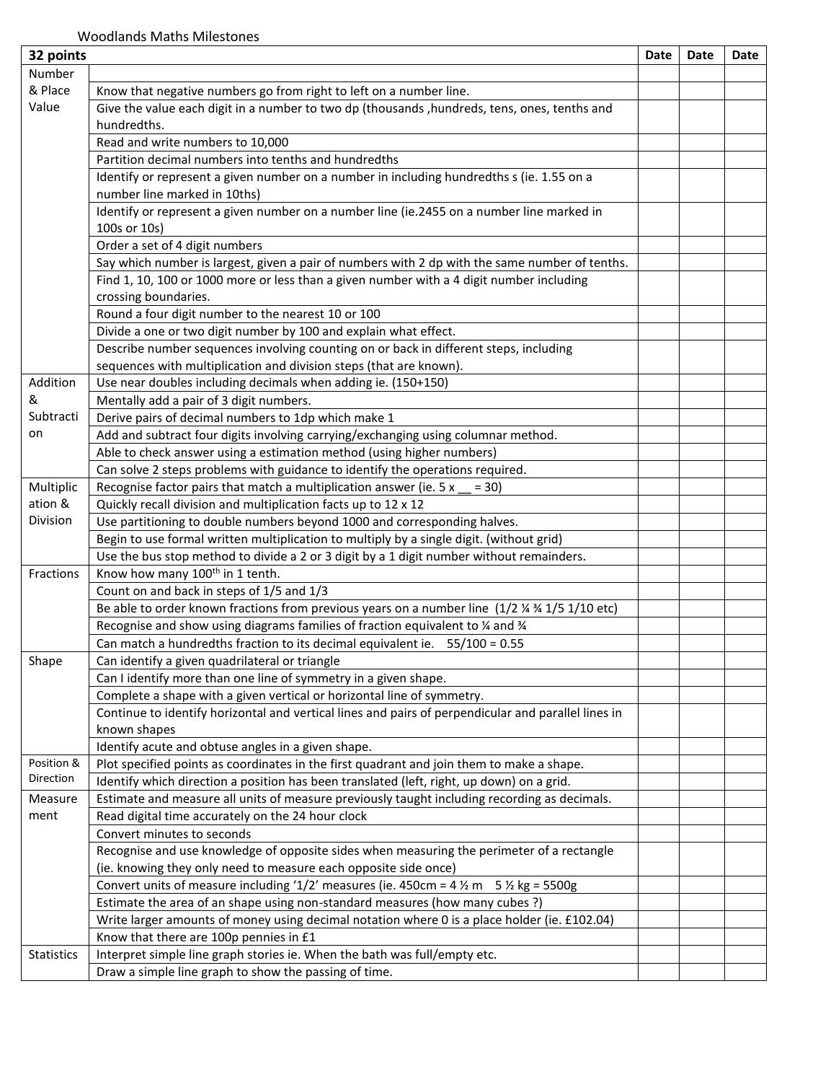| 32 points  |                                                                                                           | Date | Date | Date |
|------------|-----------------------------------------------------------------------------------------------------------|------|------|------|
| Number     |                                                                                                           |      |      |      |
| & Place    | Know that negative numbers go from right to left on a number line.                                        |      |      |      |
| Value      | Give the value each digit in a number to two dp (thousands , hundreds, tens, ones, tenths and             |      |      |      |
|            | hundredths.                                                                                               |      |      |      |
|            | Read and write numbers to 10,000                                                                          |      |      |      |
|            | Partition decimal numbers into tenths and hundredths                                                      |      |      |      |
|            | Identify or represent a given number on a number in including hundredths s (ie. 1.55 on a                 |      |      |      |
|            | number line marked in 10ths)                                                                              |      |      |      |
|            | Identify or represent a given number on a number line (ie.2455 on a number line marked in                 |      |      |      |
|            | 100s or 10s)                                                                                              |      |      |      |
|            | Order a set of 4 digit numbers                                                                            |      |      |      |
|            | Say which number is largest, given a pair of numbers with 2 dp with the same number of tenths.            |      |      |      |
|            | Find 1, 10, 100 or 1000 more or less than a given number with a 4 digit number including                  |      |      |      |
|            | crossing boundaries.                                                                                      |      |      |      |
|            | Round a four digit number to the nearest 10 or 100                                                        |      |      |      |
|            | Divide a one or two digit number by 100 and explain what effect.                                          |      |      |      |
|            | Describe number sequences involving counting on or back in different steps, including                     |      |      |      |
|            | sequences with multiplication and division steps (that are known).                                        |      |      |      |
| Addition   | Use near doubles including decimals when adding ie. (150+150)                                             |      |      |      |
| &          | Mentally add a pair of 3 digit numbers.                                                                   |      |      |      |
| Subtracti  | Derive pairs of decimal numbers to 1dp which make 1                                                       |      |      |      |
| on         | Add and subtract four digits involving carrying/exchanging using columnar method.                         |      |      |      |
|            | Able to check answer using a estimation method (using higher numbers)                                     |      |      |      |
|            | Can solve 2 steps problems with guidance to identify the operations required.                             |      |      |      |
| Multiplic  | Recognise factor pairs that match a multiplication answer (ie. $5 x = 30$ )                               |      |      |      |
| ation &    | Quickly recall division and multiplication facts up to 12 x 12                                            |      |      |      |
| Division   | Use partitioning to double numbers beyond 1000 and corresponding halves.                                  |      |      |      |
|            | Begin to use formal written multiplication to multiply by a single digit. (without grid)                  |      |      |      |
|            | Use the bus stop method to divide a 2 or 3 digit by a 1 digit number without remainders.                  |      |      |      |
| Fractions  | Know how many 100 <sup>th</sup> in 1 tenth.                                                               |      |      |      |
|            | Count on and back in steps of 1/5 and 1/3                                                                 |      |      |      |
|            | Be able to order known fractions from previous years on a number line (1/2 % 3/4 1/5 1/10 etc)            |      |      |      |
|            | Recognise and show using diagrams families of fraction equivalent to % and %                              |      |      |      |
|            | Can match a hundredths fraction to its decimal equivalent ie. 55/100 = 0.55                               |      |      |      |
| Shape      | Can identify a given quadrilateral or triangle                                                            |      |      |      |
|            | Can I identify more than one line of symmetry in a given shape.                                           |      |      |      |
|            | Complete a shape with a given vertical or horizontal line of symmetry.                                    |      |      |      |
|            | Continue to identify horizontal and vertical lines and pairs of perpendicular and parallel lines in       |      |      |      |
|            | known shapes                                                                                              |      |      |      |
|            | Identify acute and obtuse angles in a given shape.                                                        |      |      |      |
| Position & | Plot specified points as coordinates in the first quadrant and join them to make a shape.                 |      |      |      |
| Direction  | Identify which direction a position has been translated (left, right, up down) on a grid.                 |      |      |      |
| Measure    | Estimate and measure all units of measure previously taught including recording as decimals.              |      |      |      |
| ment       | Read digital time accurately on the 24 hour clock                                                         |      |      |      |
|            | Convert minutes to seconds                                                                                |      |      |      |
|            | Recognise and use knowledge of opposite sides when measuring the perimeter of a rectangle                 |      |      |      |
|            | (ie. knowing they only need to measure each opposite side once)                                           |      |      |      |
|            | Convert units of measure including '1/2' measures (ie. 450cm = $4\frac{1}{2}$ m $5\frac{1}{2}$ kg = 5500g |      |      |      |
|            | Estimate the area of an shape using non-standard measures (how many cubes?)                               |      |      |      |
|            | Write larger amounts of money using decimal notation where 0 is a place holder (ie. £102.04)              |      |      |      |
|            | Know that there are 100p pennies in £1                                                                    |      |      |      |
| Statistics | Interpret simple line graph stories ie. When the bath was full/empty etc.                                 |      |      |      |
|            | Draw a simple line graph to show the passing of time.                                                     |      |      |      |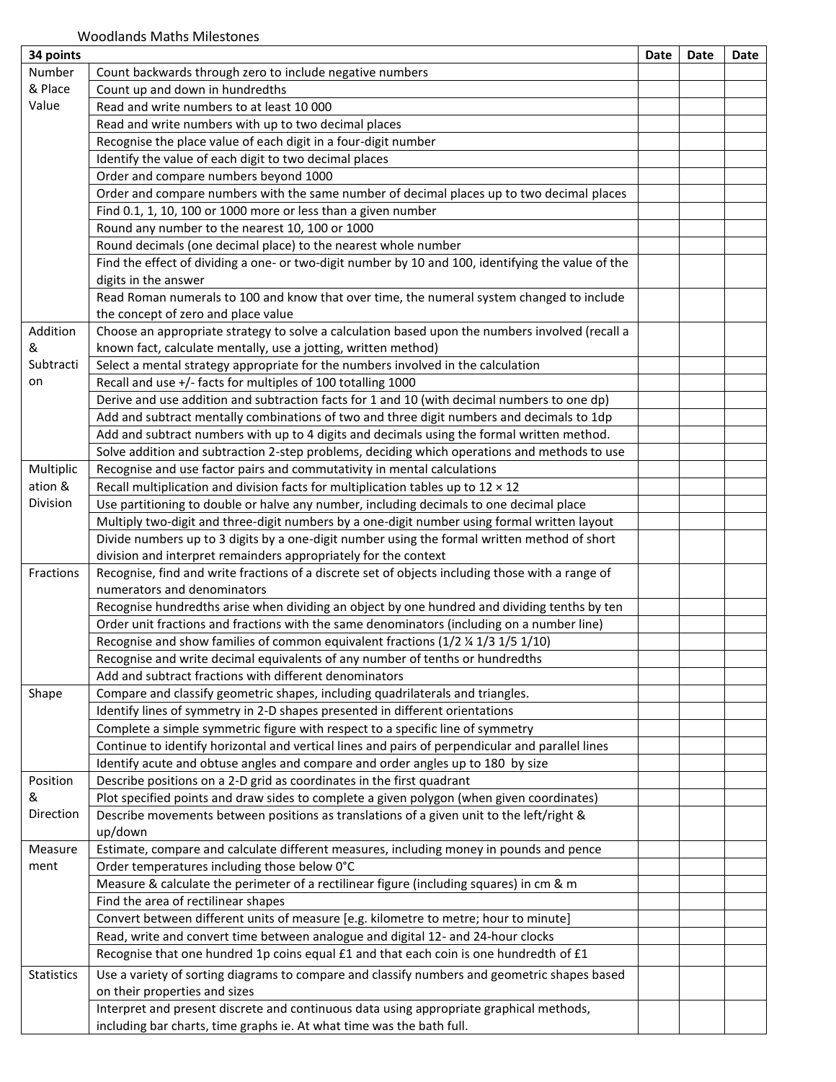| 34 points  |                                                                                                    | Date | Date | Date |
|------------|----------------------------------------------------------------------------------------------------|------|------|------|
| Number     | Count backwards through zero to include negative numbers                                           |      |      |      |
| & Place    | Count up and down in hundredths                                                                    |      |      |      |
| Value      | Read and write numbers to at least 10 000                                                          |      |      |      |
|            | Read and write numbers with up to two decimal places                                               |      |      |      |
|            | Recognise the place value of each digit in a four-digit number                                     |      |      |      |
|            | Identify the value of each digit to two decimal places                                             |      |      |      |
|            | Order and compare numbers beyond 1000                                                              |      |      |      |
|            | Order and compare numbers with the same number of decimal places up to two decimal places          |      |      |      |
|            | Find 0.1, 1, 10, 100 or 1000 more or less than a given number                                      |      |      |      |
|            | Round any number to the nearest 10, 100 or 1000                                                    |      |      |      |
|            | Round decimals (one decimal place) to the nearest whole number                                     |      |      |      |
|            | Find the effect of dividing a one- or two-digit number by 10 and 100, identifying the value of the |      |      |      |
|            | digits in the answer                                                                               |      |      |      |
|            | Read Roman numerals to 100 and know that over time, the numeral system changed to include          |      |      |      |
|            | the concept of zero and place value                                                                |      |      |      |
| Addition   | Choose an appropriate strategy to solve a calculation based upon the numbers involved (recall a    |      |      |      |
| &          | known fact, calculate mentally, use a jotting, written method)                                     |      |      |      |
| Subtracti  |                                                                                                    |      |      |      |
|            | Select a mental strategy appropriate for the numbers involved in the calculation                   |      |      |      |
| on         | Recall and use +/- facts for multiples of 100 totalling 1000                                       |      |      |      |
|            | Derive and use addition and subtraction facts for 1 and 10 (with decimal numbers to one dp)        |      |      |      |
|            | Add and subtract mentally combinations of two and three digit numbers and decimals to 1dp          |      |      |      |
|            | Add and subtract numbers with up to 4 digits and decimals using the formal written method.         |      |      |      |
|            | Solve addition and subtraction 2-step problems, deciding which operations and methods to use       |      |      |      |
| Multiplic  | Recognise and use factor pairs and commutativity in mental calculations                            |      |      |      |
| ation &    | Recall multiplication and division facts for multiplication tables up to $12 \times 12$            |      |      |      |
| Division   | Use partitioning to double or halve any number, including decimals to one decimal place            |      |      |      |
|            | Multiply two-digit and three-digit numbers by a one-digit number using formal written layout       |      |      |      |
|            | Divide numbers up to 3 digits by a one-digit number using the formal written method of short       |      |      |      |
|            | division and interpret remainders appropriately for the context                                    |      |      |      |
| Fractions  | Recognise, find and write fractions of a discrete set of objects including those with a range of   |      |      |      |
|            | numerators and denominators                                                                        |      |      |      |
|            | Recognise hundredths arise when dividing an object by one hundred and dividing tenths by ten       |      |      |      |
|            | Order unit fractions and fractions with the same denominators (including on a number line)         |      |      |      |
|            | Recognise and show families of common equivalent fractions (1/2 % 1/3 1/5 1/10)                    |      |      |      |
|            | Recognise and write decimal equivalents of any number of tenths or hundredths                      |      |      |      |
|            | Add and subtract fractions with different denominators                                             |      |      |      |
| Shape      | Compare and classify geometric shapes, including quadrilaterals and triangles.                     |      |      |      |
|            | Identify lines of symmetry in 2-D shapes presented in different orientations                       |      |      |      |
|            | Complete a simple symmetric figure with respect to a specific line of symmetry                     |      |      |      |
|            | Continue to identify horizontal and vertical lines and pairs of perpendicular and parallel lines   |      |      |      |
|            | Identify acute and obtuse angles and compare and order angles up to 180 by size                    |      |      |      |
| Position   | Describe positions on a 2-D grid as coordinates in the first quadrant                              |      |      |      |
| &          | Plot specified points and draw sides to complete a given polygon (when given coordinates)          |      |      |      |
| Direction  | Describe movements between positions as translations of a given unit to the left/right &           |      |      |      |
|            | up/down                                                                                            |      |      |      |
| Measure    | Estimate, compare and calculate different measures, including money in pounds and pence            |      |      |      |
| ment       | Order temperatures including those below 0°C                                                       |      |      |      |
|            | Measure & calculate the perimeter of a rectilinear figure (including squares) in cm & m            |      |      |      |
|            | Find the area of rectilinear shapes                                                                |      |      |      |
|            | Convert between different units of measure [e.g. kilometre to metre; hour to minute]               |      |      |      |
|            |                                                                                                    |      |      |      |
|            | Read, write and convert time between analogue and digital 12- and 24-hour clocks                   |      |      |      |
|            | Recognise that one hundred 1p coins equal £1 and that each coin is one hundredth of £1             |      |      |      |
| Statistics | Use a variety of sorting diagrams to compare and classify numbers and geometric shapes based       |      |      |      |
|            | on their properties and sizes                                                                      |      |      |      |
|            | Interpret and present discrete and continuous data using appropriate graphical methods,            |      |      |      |
|            | including bar charts, time graphs ie. At what time was the bath full.                              |      |      |      |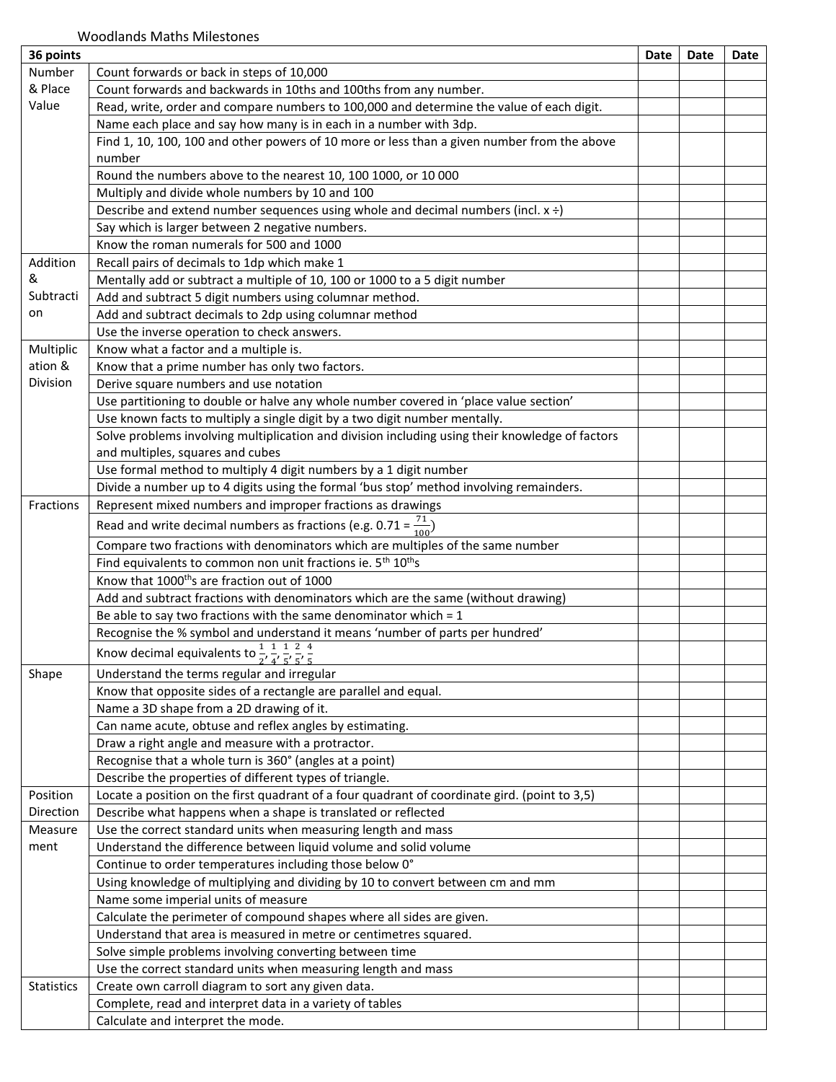| 36 points         |                                                                                                           | Date | Date | Date |
|-------------------|-----------------------------------------------------------------------------------------------------------|------|------|------|
| Number            | Count forwards or back in steps of 10,000                                                                 |      |      |      |
| & Place           | Count forwards and backwards in 10ths and 100ths from any number.                                         |      |      |      |
| Value             | Read, write, order and compare numbers to 100,000 and determine the value of each digit.                  |      |      |      |
|                   | Name each place and say how many is in each in a number with 3dp.                                         |      |      |      |
|                   | Find 1, 10, 100, 100 and other powers of 10 more or less than a given number from the above               |      |      |      |
|                   | number                                                                                                    |      |      |      |
|                   | Round the numbers above to the nearest 10, 100 1000, or 10 000                                            |      |      |      |
|                   | Multiply and divide whole numbers by 10 and 100                                                           |      |      |      |
|                   | Describe and extend number sequences using whole and decimal numbers (incl. $x \div$ )                    |      |      |      |
|                   | Say which is larger between 2 negative numbers.                                                           |      |      |      |
|                   | Know the roman numerals for 500 and 1000                                                                  |      |      |      |
| Addition          | Recall pairs of decimals to 1dp which make 1                                                              |      |      |      |
| &                 | Mentally add or subtract a multiple of 10, 100 or 1000 to a 5 digit number                                |      |      |      |
| Subtracti         | Add and subtract 5 digit numbers using columnar method.                                                   |      |      |      |
| on                | Add and subtract decimals to 2dp using columnar method                                                    |      |      |      |
|                   | Use the inverse operation to check answers.                                                               |      |      |      |
| Multiplic         | Know what a factor and a multiple is.                                                                     |      |      |      |
| ation &           | Know that a prime number has only two factors.                                                            |      |      |      |
| Division          | Derive square numbers and use notation                                                                    |      |      |      |
|                   | Use partitioning to double or halve any whole number covered in 'place value section'                     |      |      |      |
|                   | Use known facts to multiply a single digit by a two digit number mentally.                                |      |      |      |
|                   | Solve problems involving multiplication and division including using their knowledge of factors           |      |      |      |
|                   | and multiples, squares and cubes                                                                          |      |      |      |
|                   | Use formal method to multiply 4 digit numbers by a 1 digit number                                         |      |      |      |
|                   | Divide a number up to 4 digits using the formal 'bus stop' method involving remainders.                   |      |      |      |
| Fractions         | Represent mixed numbers and improper fractions as drawings                                                |      |      |      |
|                   |                                                                                                           |      |      |      |
|                   | Read and write decimal numbers as fractions (e.g. 0.71 = $\frac{71}{100}$ )                               |      |      |      |
|                   | Compare two fractions with denominators which are multiples of the same number                            |      |      |      |
|                   | Find equivalents to common non unit fractions ie. 5 <sup>th</sup> 10 <sup>th</sup> s                      |      |      |      |
|                   | Know that 1000 <sup>th</sup> s are fraction out of 1000                                                   |      |      |      |
|                   | Add and subtract fractions with denominators which are the same (without drawing)                         |      |      |      |
|                   | Be able to say two fractions with the same denominator which = $1$                                        |      |      |      |
|                   | Recognise the % symbol and understand it means 'number of parts per hundred'                              |      |      |      |
|                   | Know decimal equivalents to $\frac{1}{2}$ , $\frac{1}{4}$ , $\frac{1}{5}$ , $\frac{2}{5}$ , $\frac{4}{5}$ |      |      |      |
| Shape             | Understand the terms regular and irregular                                                                |      |      |      |
|                   | Know that opposite sides of a rectangle are parallel and equal.                                           |      |      |      |
|                   | Name a 3D shape from a 2D drawing of it.                                                                  |      |      |      |
|                   | Can name acute, obtuse and reflex angles by estimating.                                                   |      |      |      |
|                   | Draw a right angle and measure with a protractor.                                                         |      |      |      |
|                   | Recognise that a whole turn is 360° (angles at a point)                                                   |      |      |      |
|                   | Describe the properties of different types of triangle.                                                   |      |      |      |
| Position          | Locate a position on the first quadrant of a four quadrant of coordinate gird. (point to 3,5)             |      |      |      |
| Direction         | Describe what happens when a shape is translated or reflected                                             |      |      |      |
| Measure           | Use the correct standard units when measuring length and mass                                             |      |      |      |
| ment              | Understand the difference between liquid volume and solid volume                                          |      |      |      |
|                   | Continue to order temperatures including those below 0°                                                   |      |      |      |
|                   | Using knowledge of multiplying and dividing by 10 to convert between cm and mm                            |      |      |      |
|                   | Name some imperial units of measure                                                                       |      |      |      |
|                   | Calculate the perimeter of compound shapes where all sides are given.                                     |      |      |      |
|                   | Understand that area is measured in metre or centimetres squared.                                         |      |      |      |
|                   | Solve simple problems involving converting between time                                                   |      |      |      |
|                   | Use the correct standard units when measuring length and mass                                             |      |      |      |
| <b>Statistics</b> | Create own carroll diagram to sort any given data.                                                        |      |      |      |
|                   | Complete, read and interpret data in a variety of tables                                                  |      |      |      |
|                   | Calculate and interpret the mode.                                                                         |      |      |      |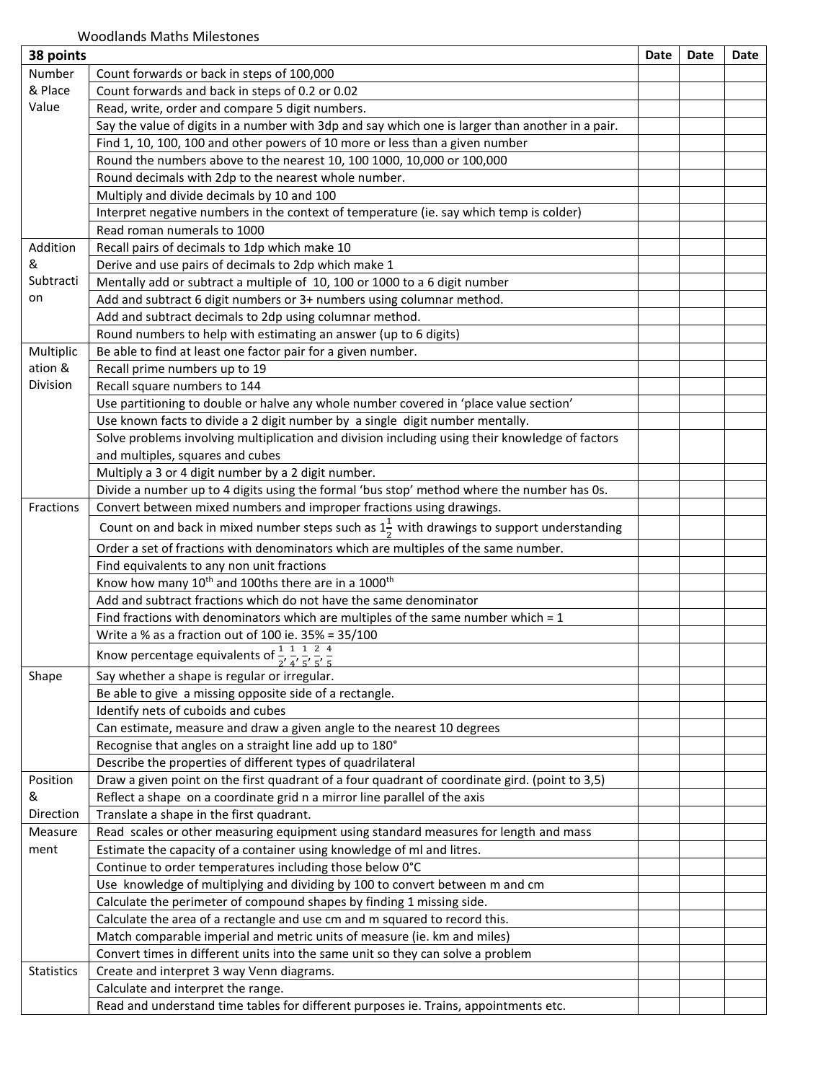| Number<br>Count forwards or back in steps of 100,000                                                         |  |
|--------------------------------------------------------------------------------------------------------------|--|
| & Place<br>Count forwards and back in steps of 0.2 or 0.02                                                   |  |
| Value<br>Read, write, order and compare 5 digit numbers.                                                     |  |
| Say the value of digits in a number with 3dp and say which one is larger than another in a pair.             |  |
| Find 1, 10, 100, 100 and other powers of 10 more or less than a given number                                 |  |
| Round the numbers above to the nearest 10, 100 1000, 10,000 or 100,000                                       |  |
| Round decimals with 2dp to the nearest whole number.                                                         |  |
| Multiply and divide decimals by 10 and 100                                                                   |  |
| Interpret negative numbers in the context of temperature (ie. say which temp is colder)                      |  |
| Read roman numerals to 1000                                                                                  |  |
| Addition<br>Recall pairs of decimals to 1dp which make 10                                                    |  |
| Derive and use pairs of decimals to 2dp which make 1<br>&                                                    |  |
| Subtracti<br>Mentally add or subtract a multiple of 10, 100 or 1000 to a 6 digit number                      |  |
| on<br>Add and subtract 6 digit numbers or 3+ numbers using columnar method.                                  |  |
| Add and subtract decimals to 2dp using columnar method.                                                      |  |
| Round numbers to help with estimating an answer (up to 6 digits)                                             |  |
| Multiplic<br>Be able to find at least one factor pair for a given number.                                    |  |
| ation &<br>Recall prime numbers up to 19                                                                     |  |
| Division<br>Recall square numbers to 144                                                                     |  |
| Use partitioning to double or halve any whole number covered in 'place value section'                        |  |
| Use known facts to divide a 2 digit number by a single digit number mentally.                                |  |
| Solve problems involving multiplication and division including using their knowledge of factors              |  |
| and multiples, squares and cubes                                                                             |  |
| Multiply a 3 or 4 digit number by a 2 digit number.                                                          |  |
| Divide a number up to 4 digits using the formal 'bus stop' method where the number has 0s.                   |  |
| Convert between mixed numbers and improper fractions using drawings.<br>Fractions                            |  |
| Count on and back in mixed number steps such as $1\frac{1}{6}$ with drawings to support understanding        |  |
| Order a set of fractions with denominators which are multiples of the same number.                           |  |
| Find equivalents to any non unit fractions                                                                   |  |
| Know how many 10 <sup>th</sup> and 100ths there are in a 1000 <sup>th</sup>                                  |  |
| Add and subtract fractions which do not have the same denominator                                            |  |
| Find fractions with denominators which are multiples of the same number which $= 1$                          |  |
| Write a % as a fraction out of 100 ie. 35% = 35/100                                                          |  |
| Know percentage equivalents of $\frac{1}{2}$ , $\frac{1}{4}$ , $\frac{1}{5}$ , $\frac{2}{5}$ , $\frac{4}{5}$ |  |
| Shape<br>Say whether a shape is regular or irregular.                                                        |  |
| Be able to give a missing opposite side of a rectangle.                                                      |  |
| Identify nets of cuboids and cubes                                                                           |  |
| Can estimate, measure and draw a given angle to the nearest 10 degrees                                       |  |
| Recognise that angles on a straight line add up to 180°                                                      |  |
| Describe the properties of different types of quadrilateral                                                  |  |
| Position<br>Draw a given point on the first quadrant of a four quadrant of coordinate gird. (point to 3,5)   |  |
| &<br>Reflect a shape on a coordinate grid n a mirror line parallel of the axis                               |  |
| Direction<br>Translate a shape in the first quadrant.                                                        |  |
| Read scales or other measuring equipment using standard measures for length and mass<br>Measure              |  |
| Estimate the capacity of a container using knowledge of ml and litres.<br>ment                               |  |
| Continue to order temperatures including those below 0°C                                                     |  |
| Use knowledge of multiplying and dividing by 100 to convert between m and cm                                 |  |
| Calculate the perimeter of compound shapes by finding 1 missing side.                                        |  |
| Calculate the area of a rectangle and use cm and m squared to record this.                                   |  |
| Match comparable imperial and metric units of measure (ie. km and miles)                                     |  |
| Convert times in different units into the same unit so they can solve a problem                              |  |
| Statistics<br>Create and interpret 3 way Venn diagrams.                                                      |  |
| Calculate and interpret the range.                                                                           |  |
| Read and understand time tables for different purposes ie. Trains, appointments etc.                         |  |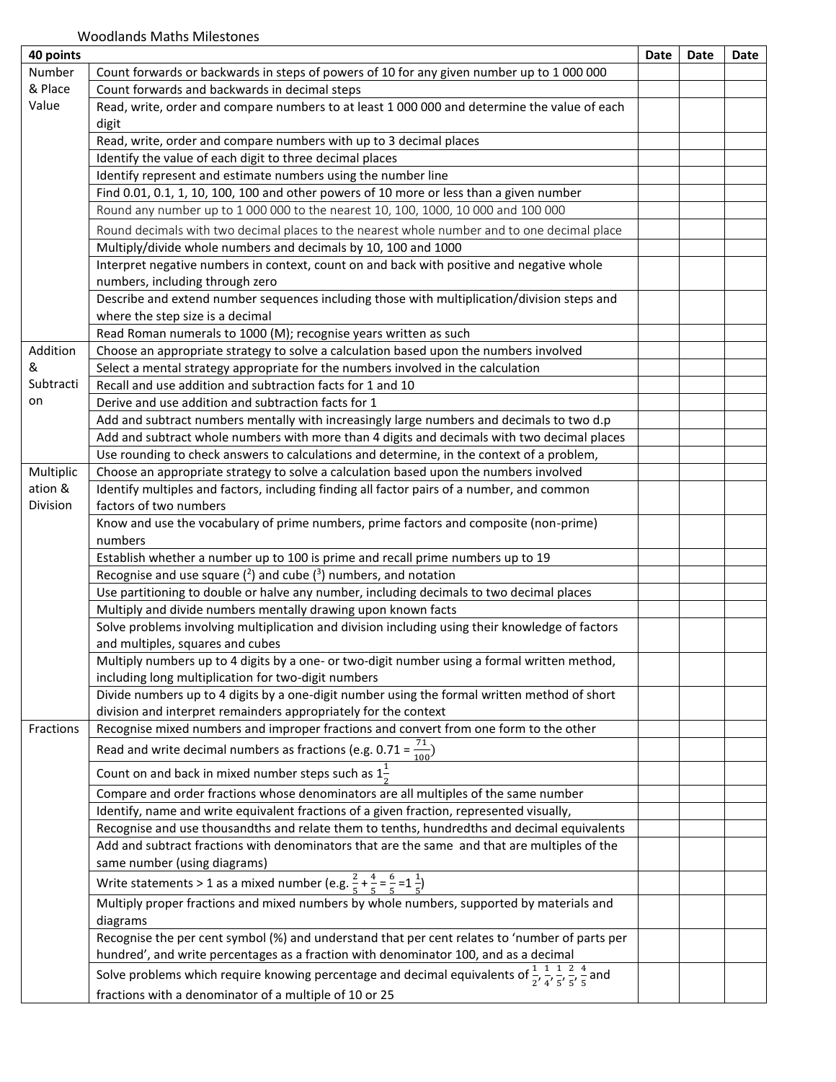| 40 points |                                                                                                                                                              | Date | Date | Date |
|-----------|--------------------------------------------------------------------------------------------------------------------------------------------------------------|------|------|------|
| Number    | Count forwards or backwards in steps of powers of 10 for any given number up to 1 000 000                                                                    |      |      |      |
| & Place   | Count forwards and backwards in decimal steps                                                                                                                |      |      |      |
| Value     | Read, write, order and compare numbers to at least 1 000 000 and determine the value of each                                                                 |      |      |      |
|           | digit                                                                                                                                                        |      |      |      |
|           | Read, write, order and compare numbers with up to 3 decimal places                                                                                           |      |      |      |
|           | Identify the value of each digit to three decimal places                                                                                                     |      |      |      |
|           | Identify represent and estimate numbers using the number line                                                                                                |      |      |      |
|           | Find 0.01, 0.1, 1, 10, 100, 100 and other powers of 10 more or less than a given number                                                                      |      |      |      |
|           | Round any number up to 1 000 000 to the nearest 10, 100, 1000, 10 000 and 100 000                                                                            |      |      |      |
|           | Round decimals with two decimal places to the nearest whole number and to one decimal place                                                                  |      |      |      |
|           | Multiply/divide whole numbers and decimals by 10, 100 and 1000                                                                                               |      |      |      |
|           | Interpret negative numbers in context, count on and back with positive and negative whole                                                                    |      |      |      |
|           | numbers, including through zero                                                                                                                              |      |      |      |
|           | Describe and extend number sequences including those with multiplication/division steps and                                                                  |      |      |      |
|           | where the step size is a decimal                                                                                                                             |      |      |      |
|           | Read Roman numerals to 1000 (M); recognise years written as such                                                                                             |      |      |      |
| Addition  | Choose an appropriate strategy to solve a calculation based upon the numbers involved                                                                        |      |      |      |
| &         | Select a mental strategy appropriate for the numbers involved in the calculation                                                                             |      |      |      |
| Subtracti | Recall and use addition and subtraction facts for 1 and 10                                                                                                   |      |      |      |
| on        | Derive and use addition and subtraction facts for 1                                                                                                          |      |      |      |
|           | Add and subtract numbers mentally with increasingly large numbers and decimals to two d.p                                                                    |      |      |      |
|           | Add and subtract whole numbers with more than 4 digits and decimals with two decimal places                                                                  |      |      |      |
|           | Use rounding to check answers to calculations and determine, in the context of a problem,                                                                    |      |      |      |
| Multiplic | Choose an appropriate strategy to solve a calculation based upon the numbers involved                                                                        |      |      |      |
| ation &   | Identify multiples and factors, including finding all factor pairs of a number, and common                                                                   |      |      |      |
| Division  | factors of two numbers                                                                                                                                       |      |      |      |
|           | Know and use the vocabulary of prime numbers, prime factors and composite (non-prime)                                                                        |      |      |      |
|           | numbers                                                                                                                                                      |      |      |      |
|           | Establish whether a number up to 100 is prime and recall prime numbers up to 19                                                                              |      |      |      |
|           | Recognise and use square $(2)$ and cube $(3)$ numbers, and notation                                                                                          |      |      |      |
|           |                                                                                                                                                              |      |      |      |
|           | Use partitioning to double or halve any number, including decimals to two decimal places<br>Multiply and divide numbers mentally drawing upon known facts    |      |      |      |
|           | Solve problems involving multiplication and division including using their knowledge of factors                                                              |      |      |      |
|           | and multiples, squares and cubes                                                                                                                             |      |      |      |
|           | Multiply numbers up to 4 digits by a one- or two-digit number using a formal written method,                                                                 |      |      |      |
|           | including long multiplication for two-digit numbers                                                                                                          |      |      |      |
|           | Divide numbers up to 4 digits by a one-digit number using the formal written method of short                                                                 |      |      |      |
|           | division and interpret remainders appropriately for the context                                                                                              |      |      |      |
| Fractions | Recognise mixed numbers and improper fractions and convert from one form to the other                                                                        |      |      |      |
|           |                                                                                                                                                              |      |      |      |
|           | Read and write decimal numbers as fractions (e.g. 0.71 = $\frac{71}{100}$ )                                                                                  |      |      |      |
|           | Count on and back in mixed number steps such as $1\frac{1}{2}$                                                                                               |      |      |      |
|           | Compare and order fractions whose denominators are all multiples of the same number                                                                          |      |      |      |
|           | Identify, name and write equivalent fractions of a given fraction, represented visually,                                                                     |      |      |      |
|           | Recognise and use thousandths and relate them to tenths, hundredths and decimal equivalents                                                                  |      |      |      |
|           | Add and subtract fractions with denominators that are the same and that are multiples of the                                                                 |      |      |      |
|           | same number (using diagrams)                                                                                                                                 |      |      |      |
|           | Write statements > 1 as a mixed number (e.g. $\frac{2}{5} + \frac{4}{5} = \frac{6}{5} = 1\frac{1}{5}$ )                                                      |      |      |      |
|           | Multiply proper fractions and mixed numbers by whole numbers, supported by materials and                                                                     |      |      |      |
|           |                                                                                                                                                              |      |      |      |
|           | diagrams<br>Recognise the per cent symbol (%) and understand that per cent relates to 'number of parts per                                                   |      |      |      |
|           | hundred', and write percentages as a fraction with denominator 100, and as a decimal                                                                         |      |      |      |
|           |                                                                                                                                                              |      |      |      |
|           | Solve problems which require knowing percentage and decimal equivalents of $\frac{1}{2}$ , $\frac{1}{4}$ , $\frac{1}{5}$ , $\frac{2}{5}$ , $\frac{4}{5}$ and |      |      |      |
|           | fractions with a denominator of a multiple of 10 or 25                                                                                                       |      |      |      |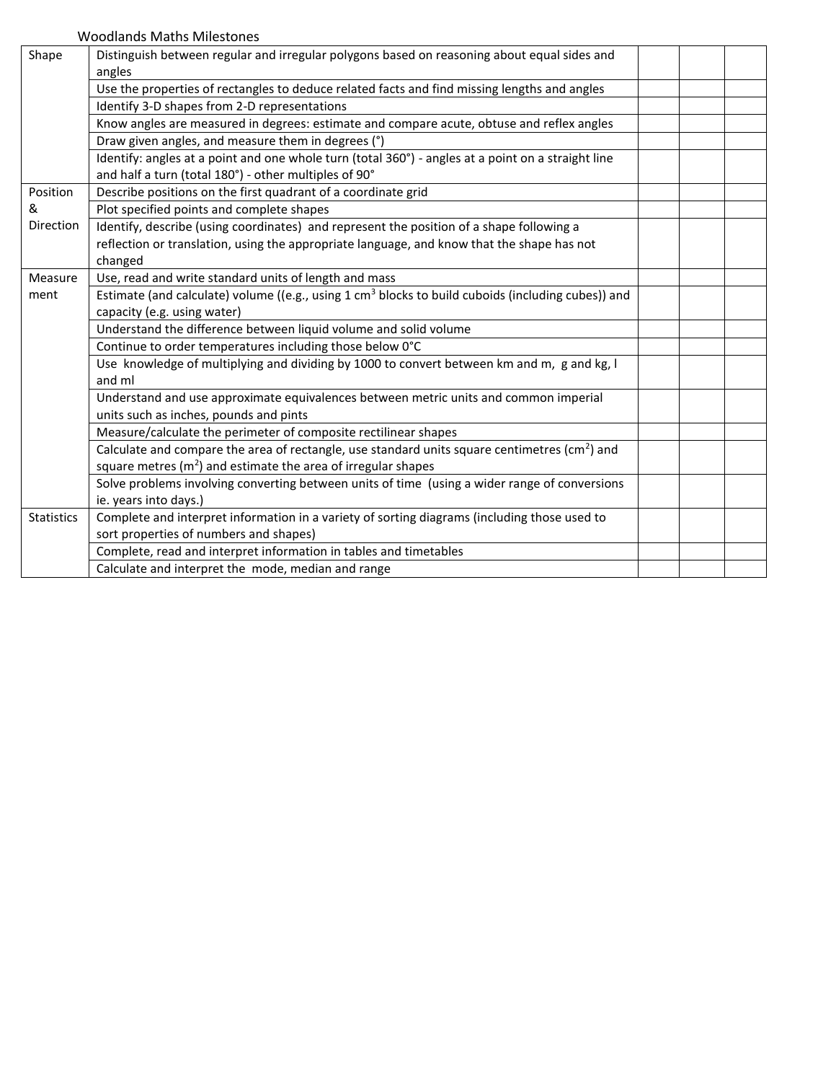Woodlands Maths Milestones

| Shape             | Distinguish between regular and irregular polygons based on reasoning about equal sides and                   |  |
|-------------------|---------------------------------------------------------------------------------------------------------------|--|
|                   | angles                                                                                                        |  |
|                   | Use the properties of rectangles to deduce related facts and find missing lengths and angles                  |  |
|                   | Identify 3-D shapes from 2-D representations                                                                  |  |
|                   | Know angles are measured in degrees: estimate and compare acute, obtuse and reflex angles                     |  |
|                   | Draw given angles, and measure them in degrees (°)                                                            |  |
|                   | Identify: angles at a point and one whole turn (total 360°) - angles at a point on a straight line            |  |
|                   | and half a turn (total 180°) - other multiples of 90°                                                         |  |
| Position          | Describe positions on the first quadrant of a coordinate grid                                                 |  |
| &                 | Plot specified points and complete shapes                                                                     |  |
| Direction         | Identify, describe (using coordinates) and represent the position of a shape following a                      |  |
|                   | reflection or translation, using the appropriate language, and know that the shape has not                    |  |
|                   | changed                                                                                                       |  |
| Measure           | Use, read and write standard units of length and mass                                                         |  |
| ment              | Estimate (and calculate) volume ((e.g., using $1 \text{ cm}^3$ blocks to build cuboids (including cubes)) and |  |
|                   | capacity (e.g. using water)                                                                                   |  |
|                   | Understand the difference between liquid volume and solid volume                                              |  |
|                   | Continue to order temperatures including those below 0°C                                                      |  |
|                   | Use knowledge of multiplying and dividing by 1000 to convert between km and m, g and kg, I                    |  |
|                   | and ml                                                                                                        |  |
|                   | Understand and use approximate equivalences between metric units and common imperial                          |  |
|                   | units such as inches, pounds and pints                                                                        |  |
|                   | Measure/calculate the perimeter of composite rectilinear shapes                                               |  |
|                   | Calculate and compare the area of rectangle, use standard units square centimetres (cm <sup>2</sup> ) and     |  |
|                   | square metres $(m2)$ and estimate the area of irregular shapes                                                |  |
|                   | Solve problems involving converting between units of time (using a wider range of conversions                 |  |
|                   | ie. years into days.)                                                                                         |  |
| <b>Statistics</b> | Complete and interpret information in a variety of sorting diagrams (including those used to                  |  |
|                   | sort properties of numbers and shapes)                                                                        |  |
|                   | Complete, read and interpret information in tables and timetables                                             |  |
|                   | Calculate and interpret the mode, median and range                                                            |  |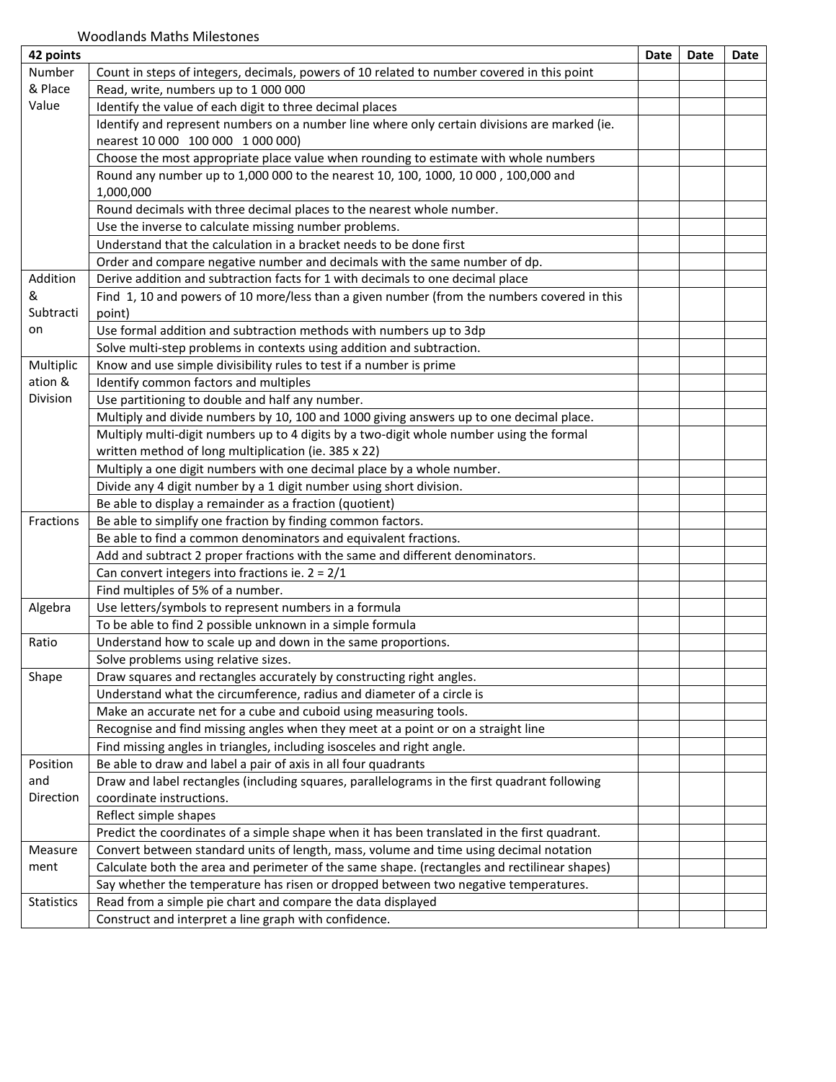| 42 points         |                                                                                              | Date | Date | Date |
|-------------------|----------------------------------------------------------------------------------------------|------|------|------|
| Number            | Count in steps of integers, decimals, powers of 10 related to number covered in this point   |      |      |      |
| & Place           | Read, write, numbers up to 1 000 000                                                         |      |      |      |
| Value             | Identify the value of each digit to three decimal places                                     |      |      |      |
|                   | Identify and represent numbers on a number line where only certain divisions are marked (ie. |      |      |      |
|                   | nearest 10 000 100 000 1 000 000)                                                            |      |      |      |
|                   | Choose the most appropriate place value when rounding to estimate with whole numbers         |      |      |      |
|                   | Round any number up to 1,000 000 to the nearest 10, 100, 1000, 10 000 , 100,000 and          |      |      |      |
|                   | 1,000,000                                                                                    |      |      |      |
|                   | Round decimals with three decimal places to the nearest whole number.                        |      |      |      |
|                   | Use the inverse to calculate missing number problems.                                        |      |      |      |
|                   | Understand that the calculation in a bracket needs to be done first                          |      |      |      |
|                   | Order and compare negative number and decimals with the same number of dp.                   |      |      |      |
| Addition          | Derive addition and subtraction facts for 1 with decimals to one decimal place               |      |      |      |
| &                 | Find 1, 10 and powers of 10 more/less than a given number (from the numbers covered in this  |      |      |      |
| Subtracti         | point)                                                                                       |      |      |      |
| on                | Use formal addition and subtraction methods with numbers up to 3dp                           |      |      |      |
|                   | Solve multi-step problems in contexts using addition and subtraction.                        |      |      |      |
| Multiplic         | Know and use simple divisibility rules to test if a number is prime                          |      |      |      |
| ation &           | Identify common factors and multiples                                                        |      |      |      |
| Division          | Use partitioning to double and half any number.                                              |      |      |      |
|                   | Multiply and divide numbers by 10, 100 and 1000 giving answers up to one decimal place.      |      |      |      |
|                   | Multiply multi-digit numbers up to 4 digits by a two-digit whole number using the formal     |      |      |      |
|                   | written method of long multiplication (ie. 385 x 22)                                         |      |      |      |
|                   | Multiply a one digit numbers with one decimal place by a whole number.                       |      |      |      |
|                   | Divide any 4 digit number by a 1 digit number using short division.                          |      |      |      |
|                   | Be able to display a remainder as a fraction (quotient)                                      |      |      |      |
| Fractions         | Be able to simplify one fraction by finding common factors.                                  |      |      |      |
|                   | Be able to find a common denominators and equivalent fractions.                              |      |      |      |
|                   | Add and subtract 2 proper fractions with the same and different denominators.                |      |      |      |
|                   | Can convert integers into fractions ie. $2 = 2/1$                                            |      |      |      |
|                   | Find multiples of 5% of a number.                                                            |      |      |      |
| Algebra           | Use letters/symbols to represent numbers in a formula                                        |      |      |      |
|                   | To be able to find 2 possible unknown in a simple formula                                    |      |      |      |
| Ratio             | Understand how to scale up and down in the same proportions.                                 |      |      |      |
|                   | Solve problems using relative sizes.                                                         |      |      |      |
| Shape             | Draw squares and rectangles accurately by constructing right angles.                         |      |      |      |
|                   | Understand what the circumference, radius and diameter of a circle is                        |      |      |      |
|                   | Make an accurate net for a cube and cuboid using measuring tools.                            |      |      |      |
|                   | Recognise and find missing angles when they meet at a point or on a straight line            |      |      |      |
|                   | Find missing angles in triangles, including isosceles and right angle.                       |      |      |      |
| Position          | Be able to draw and label a pair of axis in all four quadrants                               |      |      |      |
| and               | Draw and label rectangles (including squares, parallelograms in the first quadrant following |      |      |      |
| Direction         | coordinate instructions.                                                                     |      |      |      |
|                   | Reflect simple shapes                                                                        |      |      |      |
|                   | Predict the coordinates of a simple shape when it has been translated in the first quadrant. |      |      |      |
| Measure           | Convert between standard units of length, mass, volume and time using decimal notation       |      |      |      |
| ment              | Calculate both the area and perimeter of the same shape. (rectangles and rectilinear shapes) |      |      |      |
|                   | Say whether the temperature has risen or dropped between two negative temperatures.          |      |      |      |
| <b>Statistics</b> | Read from a simple pie chart and compare the data displayed                                  |      |      |      |
|                   | Construct and interpret a line graph with confidence.                                        |      |      |      |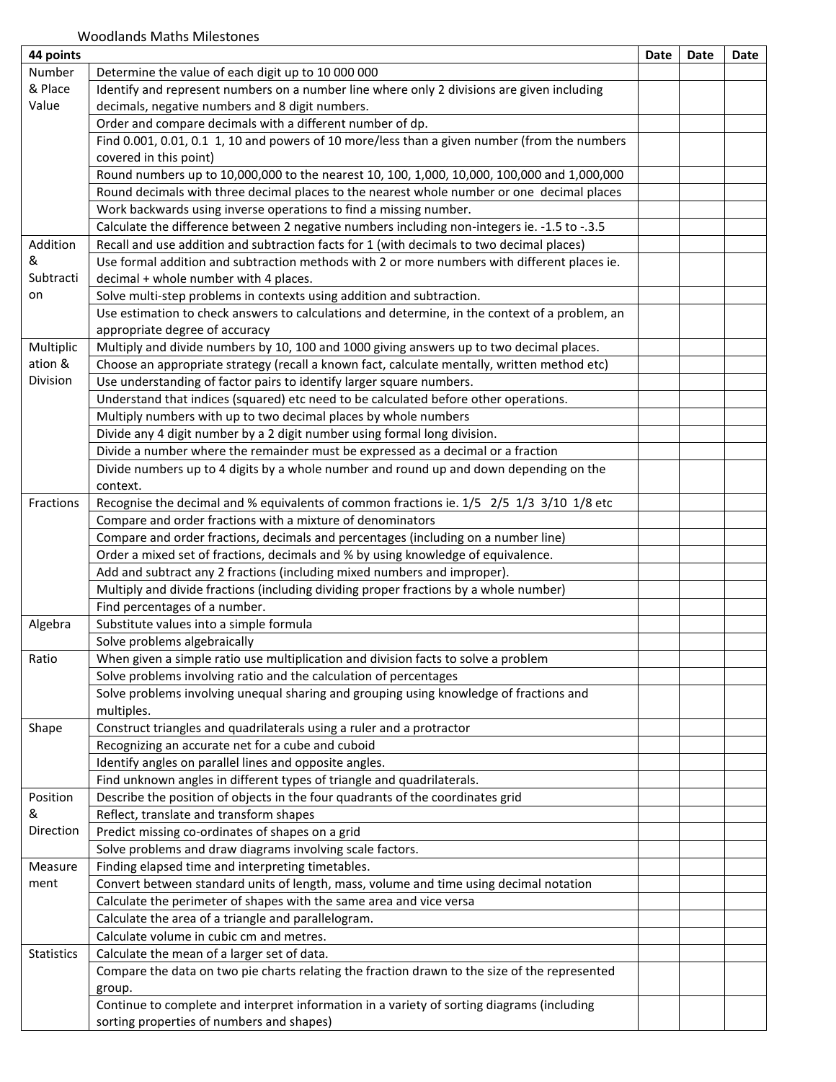| 44 points         |                                                                                                      | Date | Date | Date |
|-------------------|------------------------------------------------------------------------------------------------------|------|------|------|
| Number            | Determine the value of each digit up to 10 000 000                                                   |      |      |      |
| & Place           | Identify and represent numbers on a number line where only 2 divisions are given including           |      |      |      |
| Value             | decimals, negative numbers and 8 digit numbers.                                                      |      |      |      |
|                   | Order and compare decimals with a different number of dp.                                            |      |      |      |
|                   | Find 0.001, 0.01, 0.1 1, 10 and powers of 10 more/less than a given number (from the numbers         |      |      |      |
|                   | covered in this point)                                                                               |      |      |      |
|                   | Round numbers up to 10,000,000 to the nearest 10, 100, 1,000, 10,000, 100,000 and 1,000,000          |      |      |      |
|                   | Round decimals with three decimal places to the nearest whole number or one decimal places           |      |      |      |
|                   | Work backwards using inverse operations to find a missing number.                                    |      |      |      |
|                   | Calculate the difference between 2 negative numbers including non-integers ie. -1.5 to -.3.5         |      |      |      |
| Addition          | Recall and use addition and subtraction facts for 1 (with decimals to two decimal places)            |      |      |      |
| &                 | Use formal addition and subtraction methods with 2 or more numbers with different places ie.         |      |      |      |
| Subtracti         | decimal + whole number with 4 places.                                                                |      |      |      |
| on                | Solve multi-step problems in contexts using addition and subtraction.                                |      |      |      |
|                   | Use estimation to check answers to calculations and determine, in the context of a problem, an       |      |      |      |
|                   | appropriate degree of accuracy                                                                       |      |      |      |
| Multiplic         | Multiply and divide numbers by 10, 100 and 1000 giving answers up to two decimal places.             |      |      |      |
| ation &           | Choose an appropriate strategy (recall a known fact, calculate mentally, written method etc)         |      |      |      |
| Division          | Use understanding of factor pairs to identify larger square numbers.                                 |      |      |      |
|                   | Understand that indices (squared) etc need to be calculated before other operations.                 |      |      |      |
|                   | Multiply numbers with up to two decimal places by whole numbers                                      |      |      |      |
|                   | Divide any 4 digit number by a 2 digit number using formal long division.                            |      |      |      |
|                   | Divide a number where the remainder must be expressed as a decimal or a fraction                     |      |      |      |
|                   | Divide numbers up to 4 digits by a whole number and round up and down depending on the               |      |      |      |
|                   | context.                                                                                             |      |      |      |
| Fractions         | Recognise the decimal and % equivalents of common fractions ie. 1/5 2/5 1/3 3/10 1/8 etc             |      |      |      |
|                   | Compare and order fractions with a mixture of denominators                                           |      |      |      |
|                   | Compare and order fractions, decimals and percentages (including on a number line)                   |      |      |      |
|                   | Order a mixed set of fractions, decimals and % by using knowledge of equivalence.                    |      |      |      |
|                   | Add and subtract any 2 fractions (including mixed numbers and improper).                             |      |      |      |
|                   | Multiply and divide fractions (including dividing proper fractions by a whole number)                |      |      |      |
|                   | Find percentages of a number.                                                                        |      |      |      |
| Algebra           | Substitute values into a simple formula                                                              |      |      |      |
|                   | Solve problems algebraically                                                                         |      |      |      |
| Ratio             | When given a simple ratio use multiplication and division facts to solve a problem                   |      |      |      |
|                   | Solve problems involving ratio and the calculation of percentages                                    |      |      |      |
|                   |                                                                                                      |      |      |      |
|                   | Solve problems involving unequal sharing and grouping using knowledge of fractions and<br>multiples. |      |      |      |
| Shape             | Construct triangles and quadrilaterals using a ruler and a protractor                                |      |      |      |
|                   | Recognizing an accurate net for a cube and cuboid                                                    |      |      |      |
|                   | Identify angles on parallel lines and opposite angles.                                               |      |      |      |
|                   |                                                                                                      |      |      |      |
|                   | Find unknown angles in different types of triangle and quadrilaterals.                               |      |      |      |
| Position<br>&     | Describe the position of objects in the four quadrants of the coordinates grid                       |      |      |      |
| Direction         | Reflect, translate and transform shapes                                                              |      |      |      |
|                   | Predict missing co-ordinates of shapes on a grid                                                     |      |      |      |
|                   | Solve problems and draw diagrams involving scale factors.                                            |      |      |      |
| Measure           | Finding elapsed time and interpreting timetables.                                                    |      |      |      |
| ment              | Convert between standard units of length, mass, volume and time using decimal notation               |      |      |      |
|                   | Calculate the perimeter of shapes with the same area and vice versa                                  |      |      |      |
|                   | Calculate the area of a triangle and parallelogram.                                                  |      |      |      |
|                   | Calculate volume in cubic cm and metres.                                                             |      |      |      |
| <b>Statistics</b> | Calculate the mean of a larger set of data.                                                          |      |      |      |
|                   | Compare the data on two pie charts relating the fraction drawn to the size of the represented        |      |      |      |
|                   | group.                                                                                               |      |      |      |
|                   | Continue to complete and interpret information in a variety of sorting diagrams (including           |      |      |      |
|                   | sorting properties of numbers and shapes)                                                            |      |      |      |